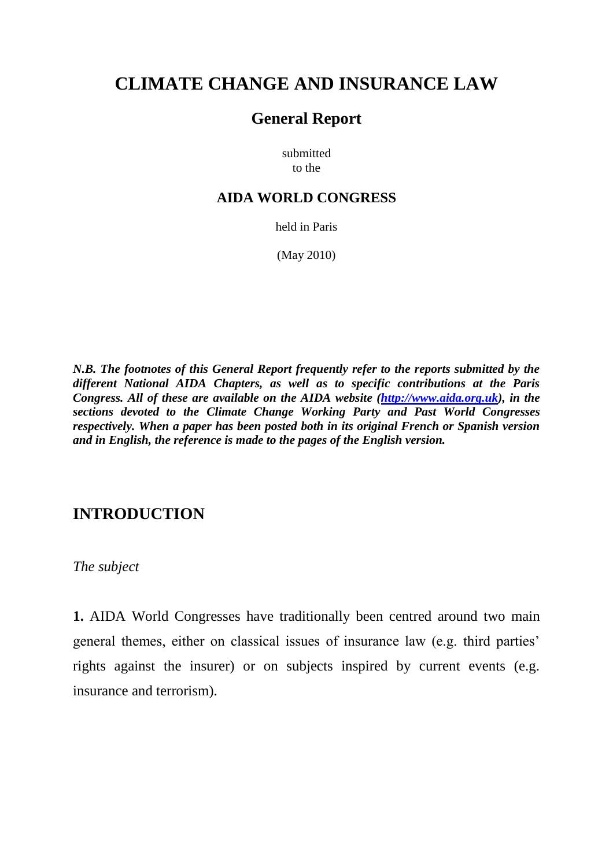# **CLIMATE CHANGE AND INSURANCE LAW**

# **General Report**

submitted to the

# **AIDA WORLD CONGRESS**

held in Paris

(May 2010)

*N.B. The footnotes of this General Report frequently refer to the reports submitted by the different National AIDA Chapters, as well as to specific contributions at the Paris Congress. All of these are available on the AIDA website [\(http://www.aida.org.uk\)](http://www.aida.org.uk/), in the sections devoted to the Climate Change Working Party and Past World Congresses respectively. When a paper has been posted both in its original French or Spanish version and in English, the reference is made to the pages of the English version.* 

# **INTRODUCTION**

*The subject*

**1.** AIDA World Congresses have traditionally been centred around two main general themes, either on classical issues of insurance law (e.g. third parties' rights against the insurer) or on subjects inspired by current events (e.g. insurance and terrorism).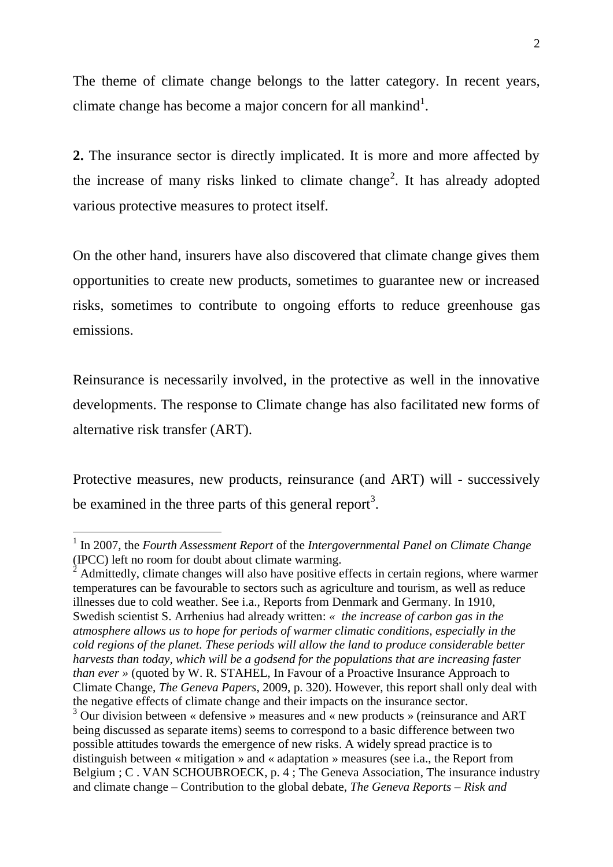The theme of climate change belongs to the latter category. In recent years, climate change has become a major concern for all mankind<sup>1</sup>.

**2.** The insurance sector is directly implicated. It is more and more affected by the increase of many risks linked to climate change<sup>2</sup>. It has already adopted various protective measures to protect itself.

On the other hand, insurers have also discovered that climate change gives them opportunities to create new products, sometimes to guarantee new or increased risks, sometimes to contribute to ongoing efforts to reduce greenhouse gas emissions.

Reinsurance is necessarily involved, in the protective as well in the innovative developments. The response to Climate change has also facilitated new forms of alternative risk transfer (ART).

Protective measures, new products, reinsurance (and ART) will - successively be examined in the three parts of this general report<sup>3</sup>.

 $\overline{a}$ 

<sup>2</sup> Admittedly, climate changes will also have positive effects in certain regions, where warmer temperatures can be favourable to sectors such as agriculture and tourism, as well as reduce illnesses due to cold weather. See i.a., Reports from Denmark and Germany. In 1910, Swedish scientist S. Arrhenius had already written: *« the increase of carbon gas in the atmosphere allows us to hope for periods of warmer climatic conditions, especially in the cold regions of the planet. These periods will allow the land to produce considerable better harvests than today, which will be a godsend for the populations that are increasing faster than ever »* (quoted by W. R. STAHEL, In Favour of a Proactive Insurance Approach to Climate Change, *The Geneva Papers*, 2009, p. 320). However, this report shall only deal with the negative effects of climate change and their impacts on the insurance sector.

<sup>&</sup>lt;sup>1</sup> In 2007, the *Fourth Assessment Report* of the *Intergovernmental Panel on Climate Change* (IPCC) left no room for doubt about climate warming.

 $3$  Our division between « defensive » measures and « new products » (reinsurance and ART being discussed as separate items) seems to correspond to a basic difference between two possible attitudes towards the emergence of new risks. A widely spread practice is to distinguish between « mitigation » and « adaptation » measures (see i.a., the Report from Belgium ; C . VAN SCHOUBROECK, p. 4 ; The Geneva Association, The insurance industry and climate change – Contribution to the global debate, *The Geneva Reports – Risk and*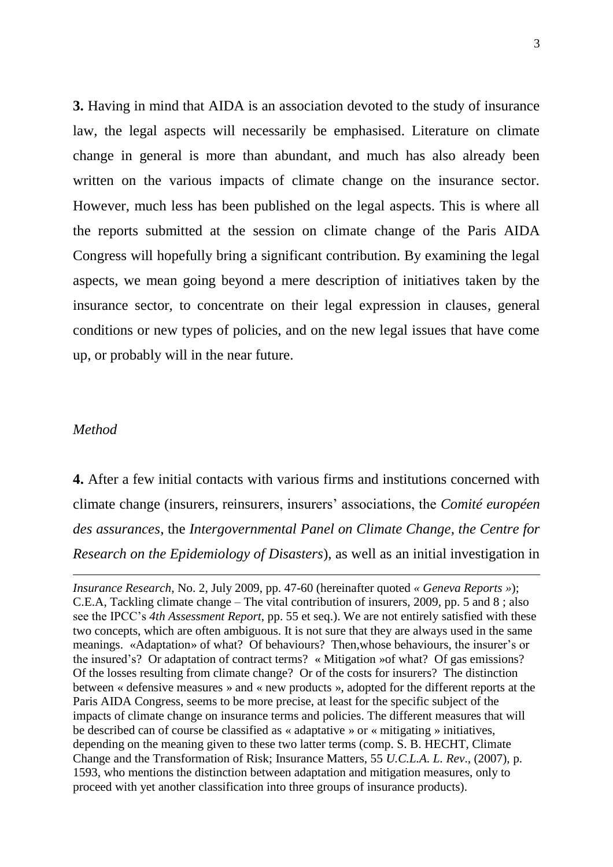**3.** Having in mind that AIDA is an association devoted to the study of insurance law, the legal aspects will necessarily be emphasised. Literature on climate change in general is more than abundant, and much has also already been written on the various impacts of climate change on the insurance sector. However, much less has been published on the legal aspects. This is where all the reports submitted at the session on climate change of the Paris AIDA Congress will hopefully bring a significant contribution. By examining the legal aspects, we mean going beyond a mere description of initiatives taken by the insurance sector, to concentrate on their legal expression in clauses, general conditions or new types of policies, and on the new legal issues that have come up, or probably will in the near future.

#### *Method*

-

**4.** After a few initial contacts with various firms and institutions concerned with climate change (insurers, reinsurers, insurers' associations, the *Comité européen des assurances*, the *Intergovernmental Panel on Climate Change, the Centre for Research on the Epidemiology of Disasters*), as well as an initial investigation in

*Insurance Research*, No. 2, July 2009, pp. 47-60 (hereinafter quoted *« Geneva Reports »*); C.E.A, Tackling climate change – The vital contribution of insurers, 2009, pp. 5 and 8 ; also see the IPCC's *4th Assessment Report*, pp. 55 et seq.). We are not entirely satisfied with these two concepts, which are often ambiguous. It is not sure that they are always used in the same meanings. «Adaptation» of what? Of behaviours? Then,whose behaviours, the insurer's or the insured's? Or adaptation of contract terms? « Mitigation »of what? Of gas emissions? Of the losses resulting from climate change? Or of the costs for insurers? The distinction between « defensive measures » and « new products », adopted for the different reports at the Paris AIDA Congress, seems to be more precise, at least for the specific subject of the impacts of climate change on insurance terms and policies. The different measures that will be described can of course be classified as « adaptative » or « mitigating » initiatives, depending on the meaning given to these two latter terms (comp. S. B. HECHT, Climate Change and the Transformation of Risk; Insurance Matters, 55 *U.C.L.A. L. Rev*., (2007), p. 1593, who mentions the distinction between adaptation and mitigation measures, only to proceed with yet another classification into three groups of insurance products).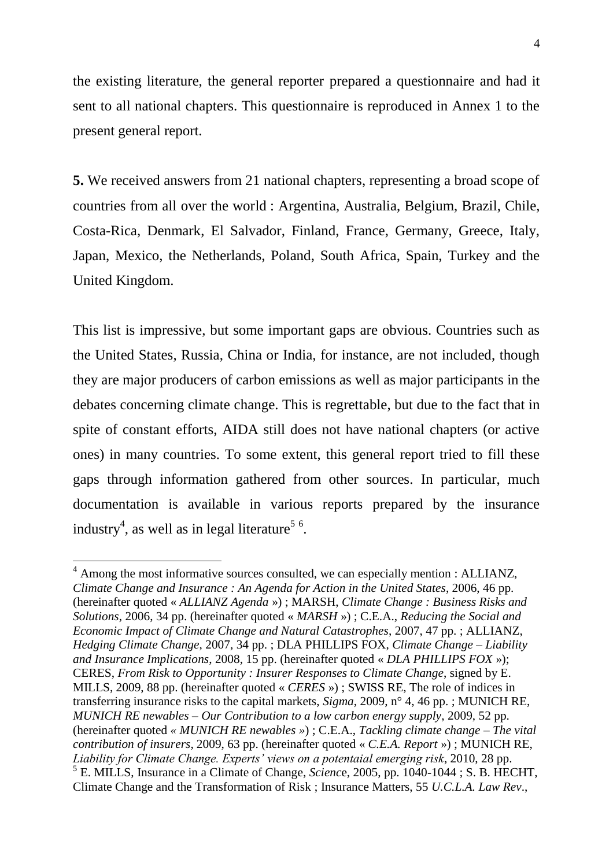the existing literature, the general reporter prepared a questionnaire and had it sent to all national chapters. This questionnaire is reproduced in Annex 1 to the present general report.

**5.** We received answers from 21 national chapters, representing a broad scope of countries from all over the world : Argentina, Australia, Belgium, Brazil, Chile, Costa-Rica, Denmark, El Salvador, Finland, France, Germany, Greece, Italy, Japan, Mexico, the Netherlands, Poland, South Africa, Spain, Turkey and the United Kingdom.

This list is impressive, but some important gaps are obvious. Countries such as the United States, Russia, China or India, for instance, are not included, though they are major producers of carbon emissions as well as major participants in the debates concerning climate change. This is regrettable, but due to the fact that in spite of constant efforts, AIDA still does not have national chapters (or active ones) in many countries. To some extent, this general report tried to fill these gaps through information gathered from other sources. In particular, much documentation is available in various reports prepared by the insurance industry<sup>4</sup>, as well as in legal literature<sup>56</sup>.

<sup>&</sup>lt;sup>4</sup> Among the most informative sources consulted, we can especially mention : ALLIANZ, *Climate Change and Insurance : An Agenda for Action in the United States*, 2006, 46 pp. (hereinafter quoted « *ALLIANZ Agenda* ») ; MARSH, *Climate Change : Business Risks and Solutions*, 2006, 34 pp. (hereinafter quoted « *MARSH* ») ; C.E.A., *Reducing the Social and Economic Impact of Climate Change and Natural Catastrophes*, 2007, 47 pp. ; ALLIANZ, *Hedging Climate Change*, 2007, 34 pp. ; DLA PHILLIPS FOX, *Climate Change – Liability and Insurance Implications*, 2008, 15 pp. (hereinafter quoted « *DLA PHILLIPS FOX* »); CERES, *From Risk to Opportunity : Insurer Responses to Climate Change*, signed by E. MILLS, 2009, 88 pp. (hereinafter quoted « *CERES* ») ; SWISS RE, The role of indices in transferring insurance risks to the capital markets, *Sigma*, 2009, n° 4, 46 pp. ; MUNICH RE, *MUNICH RE newables – Our Contribution to a low carbon energy supply*, 2009, 52 pp. (hereinafter quoted *« MUNICH RE newables »*) ; C.E.A., *Tackling climate change – The vital contribution of insurers*, 2009, 63 pp. (hereinafter quoted « *C.E.A. Report* ») ; MUNICH RE, *Liability for Climate Change. Experts' views on a potentaial emerging risk*, 2010, 28 pp. 5 E. MILLS, Insurance in a Climate of Change, *Scienc*e, 2005, pp. 1040-1044 ; S. B. HECHT, Climate Change and the Transformation of Risk ; Insurance Matters, 55 *U.C.L.A. Law Rev*.,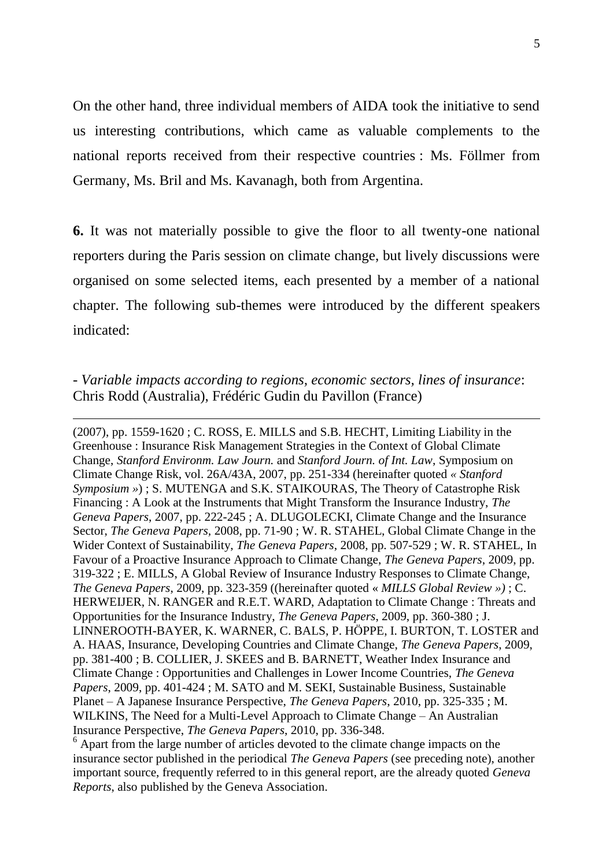On the other hand, three individual members of AIDA took the initiative to send us interesting contributions, which came as valuable complements to the national reports received from their respective countries : Ms. Föllmer from Germany, Ms. Bril and Ms. Kavanagh, both from Argentina.

**6.** It was not materially possible to give the floor to all twenty-one national reporters during the Paris session on climate change, but lively discussions were organised on some selected items, each presented by a member of a national chapter. The following sub-themes were introduced by the different speakers indicated:

# - *Variable impacts according to regions, economic sectors, lines of insurance*: Chris Rodd (Australia), Frédéric Gudin du Pavillon (France)

<u>.</u>

(2007), pp. 1559-1620 ; C. ROSS, E. MILLS and S.B. HECHT, Limiting Liability in the Greenhouse : Insurance Risk Management Strategies in the Context of Global Climate Change, *Stanford Environm. Law Journ.* and *Stanford Journ. of Int. Law*, Symposium on Climate Change Risk, vol. 26A/43A, 2007, pp. 251-334 (hereinafter quoted *« Stanford Symposium »*) ; S. MUTENGA and S.K. STAIKOURAS, The Theory of Catastrophe Risk Financing : A Look at the Instruments that Might Transform the Insurance Industry, *The Geneva Papers*, 2007, pp. 222-245 ; A. DLUGOLECKI, Climate Change and the Insurance Sector, *The Geneva Papers,* 2008, pp. 71-90 ; W. R. STAHEL, Global Climate Change in the Wider Context of Sustainability, *The Geneva Papers*, 2008, pp. 507-529 ; W. R. STAHEL, In Favour of a Proactive Insurance Approach to Climate Change, *The Geneva Papers*, 2009, pp. 319-322 ; E. MILLS, A Global Review of Insurance Industry Responses to Climate Change, *The Geneva Papers*, 2009, pp. 323-359 ((hereinafter quoted « *MILLS Global Review »)* ; C. HERWEIJER, N. RANGER and R.E.T. WARD, Adaptation to Climate Change : Threats and Opportunities for the Insurance Industry, *The Geneva Papers*, 2009, pp. 360-380 ; J. LINNEROOTH-BAYER, K. WARNER, C. BALS, P. HÖPPE, I. BURTON, T. LOSTER and A. HAAS, Insurance, Developing Countries and Climate Change, *The Geneva Papers*, 2009, pp. 381-400 ; B. COLLIER, J. SKEES and B. BARNETT, Weather Index Insurance and Climate Change : Opportunities and Challenges in Lower Income Countries, *The Geneva Papers*, 2009, pp. 401-424 ; M. SATO and M. SEKI, Sustainable Business, Sustainable Planet – A Japanese Insurance Perspective, *The Geneva Papers*, 2010, pp. 325-335 ; M. WILKINS, The Need for a Multi-Level Approach to Climate Change – An Australian Insurance Perspective, *The Geneva Papers*, 2010, pp. 336-348.

 $6$  Apart from the large number of articles devoted to the climate change impacts on the insurance sector published in the periodical *The Geneva Papers* (see preceding note), another important source, frequently referred to in this general report, are the already quoted *Geneva Reports*, also published by the Geneva Association.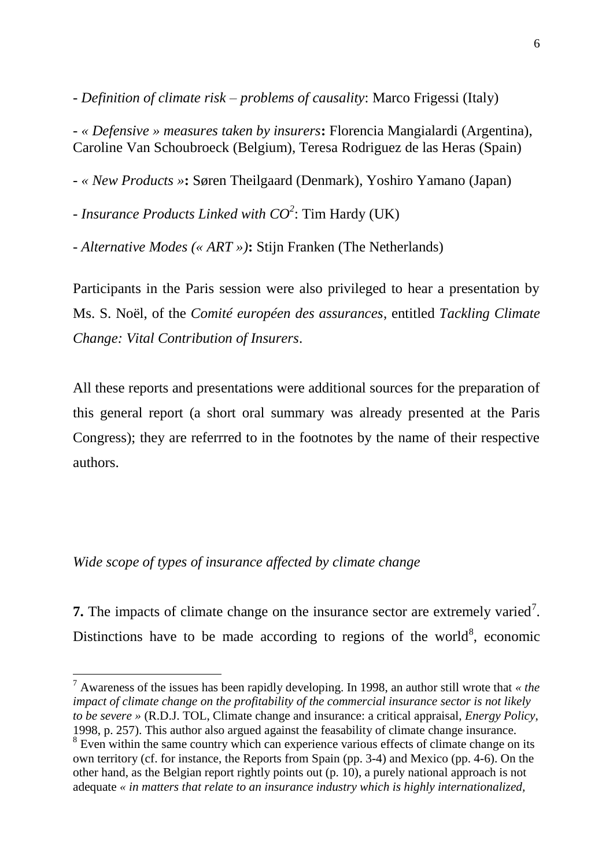- *Definition of climate risk – problems of causality*: Marco Frigessi (Italy)

- *« Defensive » measures taken by insurers***:** Florencia Mangialardi (Argentina), Caroline Van Schoubroeck (Belgium), Teresa Rodriguez de las Heras (Spain)

- *« New Products »***:** Søren Theilgaard (Denmark), Yoshiro Yamano (Japan)

- *Insurance Products Linked with CO<sup>2</sup>* : Tim Hardy (UK)

- *Alternative Modes (« ART »)***:** Stijn Franken (The Netherlands)

Participants in the Paris session were also privileged to hear a presentation by Ms. S. Noël, of the *Comité européen des assurances*, entitled *Tackling Climate Change: Vital Contribution of Insurers*.

All these reports and presentations were additional sources for the preparation of this general report (a short oral summary was already presented at the Paris Congress); they are referrred to in the footnotes by the name of their respective authors.

# *Wide scope of types of insurance affected by climate change*

**7.** The impacts of climate change on the insurance sector are extremely varied<sup>7</sup>. Distinctions have to be made according to regions of the world<sup>8</sup>, economic

 $\overline{a}$ <sup>7</sup> Awareness of the issues has been rapidly developing. In 1998, an author still wrote that *« the impact of climate change on the profitability of the commercial insurance sector is not likely to be severe »* (R.D.J. TOL, Climate change and insurance: a critical appraisal, *Energy Policy*, 1998, p. 257). This author also argued against the feasability of climate change insurance. <sup>8</sup> Even within the same country which can experience various effects of climate change on its own territory (cf. for instance, the Reports from Spain (pp. 3-4) and Mexico (pp. 4-6). On the other hand, as the Belgian report rightly points out (p. 10), a purely national approach is not adequate *« in matters that relate to an insurance industry which is highly internationalized,*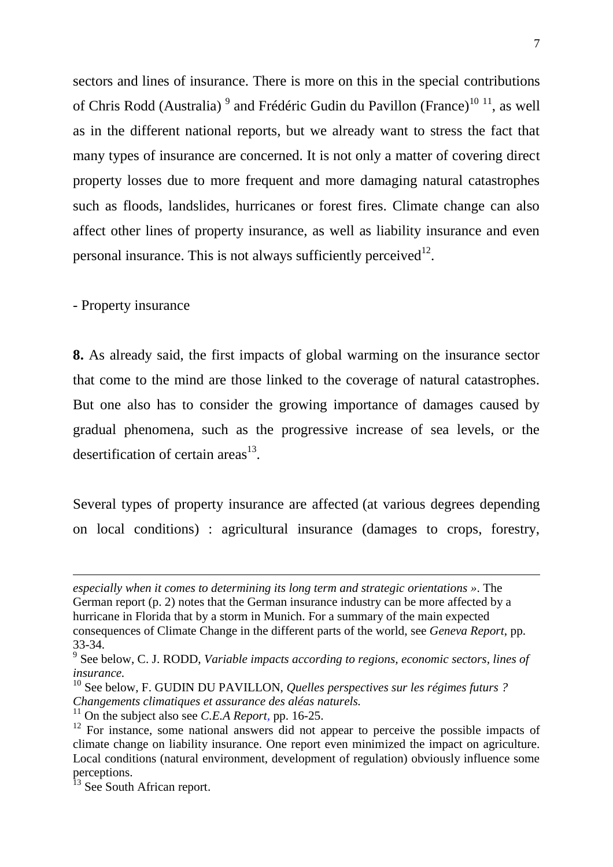sectors and lines of insurance. There is more on this in the special contributions of Chris Rodd (Australia)<sup>9</sup> and Frédéric Gudin du Pavillon (France)<sup>10 11</sup>, as well as in the different national reports, but we already want to stress the fact that many types of insurance are concerned. It is not only a matter of covering direct property losses due to more frequent and more damaging natural catastrophes such as floods, landslides, hurricanes or forest fires. Climate change can also affect other lines of property insurance, as well as liability insurance and even personal insurance. This is not always sufficiently perceived $12$ .

- Property insurance

-

**8.** As already said, the first impacts of global warming on the insurance sector that come to the mind are those linked to the coverage of natural catastrophes. But one also has to consider the growing importance of damages caused by gradual phenomena, such as the progressive increase of sea levels, or the desertification of certain areas $^{13}$ .

Several types of property insurance are affected (at various degrees depending on local conditions) : agricultural insurance (damages to crops, forestry,

*especially when it comes to determining its long term and strategic orientations »*. The German report (p. 2) notes that the German insurance industry can be more affected by a hurricane in Florida that by a storm in Munich. For a summary of the main expected consequences of Climate Change in the different parts of the world, see *Geneva Report*, pp. 33-34.

<sup>9</sup> See below, C. J. RODD, *Variable impacts according to regions, economic sectors, lines of insurance.*

<sup>10</sup> See below, F. GUDIN DU PAVILLON, *Quelles perspectives sur les régimes futurs ? Changements climatiques et assurance des aléas naturels.*

<sup>11</sup> On the subject also see *C.E.A Report,* pp. 16-25.

 $12$  For instance, some national answers did not appear to perceive the possible impacts of climate change on liability insurance. One report even minimized the impact on agriculture. Local conditions (natural environment, development of regulation) obviously influence some perceptions.

<sup>&</sup>lt;sup>13</sup> See South African report.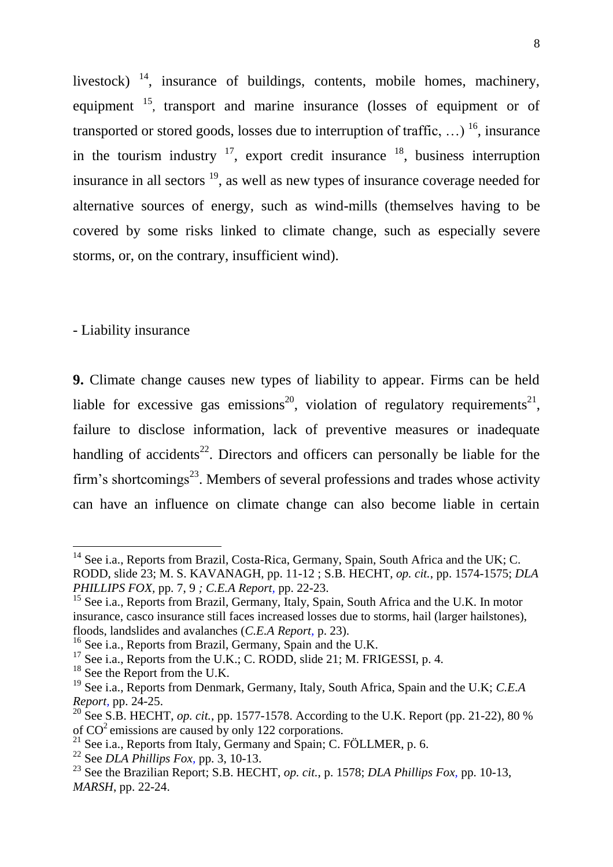livestock)  $\frac{14}{1}$ , insurance of buildings, contents, mobile homes, machinery, equipment <sup>15</sup>, transport and marine insurance (losses of equipment or of transported or stored goods, losses due to interruption of traffic, ...) <sup>16</sup>, insurance in the tourism industry  $17$ , export credit insurance  $18$ , business interruption insurance in all sectors <sup>19</sup>, as well as new types of insurance coverage needed for alternative sources of energy, such as wind-mills (themselves having to be covered by some risks linked to climate change, such as especially severe storms, or, on the contrary, insufficient wind).

## - Liability insurance

 $\overline{a}$ 

**9.** Climate change causes new types of liability to appear. Firms can be held liable for excessive gas emissions<sup>20</sup>, violation of regulatory requirements<sup>21</sup>, failure to disclose information, lack of preventive measures or inadequate handling of accidents<sup>22</sup>. Directors and officers can personally be liable for the firm's shortcomings<sup>23</sup>. Members of several professions and trades whose activity can have an influence on climate change can also become liable in certain

 $14$  See i.a., Reports from Brazil, Costa-Rica, Germany, Spain, South Africa and the UK; C. RODD, slide 23; M. S. KAVANAGH, pp. 11-12 ; S.B. HECHT, *op. cit.*, pp. 1574-1575; *DLA PHILLIPS FOX,* pp. 7, 9 *; C.E.A Report,* pp. 22-23.

<sup>&</sup>lt;sup>15</sup> See i.a., Reports from Brazil, Germany, Italy, Spain, South Africa and the U.K. In motor insurance, casco insurance still faces increased losses due to storms, hail (larger hailstones), floods, landslides and avalanches (*C.E.A Report,* p. 23).

<sup>&</sup>lt;sup>16</sup> See i.a., Reports from Brazil, Germany, Spain and the U.K.

 $17$  See i.a., Reports from the U.K.; C. RODD, slide 21; M. FRIGESSI, p. 4.

<sup>&</sup>lt;sup>18</sup> See the Report from the U.K.

<sup>19</sup> See i.a., Reports from Denmark, Germany, Italy, South Africa, Spain and the U.K; *C.E.A Report,* pp. 24-25.

<sup>&</sup>lt;sup>20</sup> See S.B. HECHT, *op. cit.*, pp. 1577-1578. According to the U.K. Report (pp. 21-22), 80 % of  $CO<sup>2</sup>$  emissions are caused by only 122 corporations.

<sup>&</sup>lt;sup>21</sup> See i.a., Reports from Italy, Germany and Spain; C. FÖLLMER, p. 6.

<sup>22</sup> See *DLA Phillips Fox,* pp. 3, 10-13.

<sup>23</sup> See the Brazilian Report; S.B. HECHT, *op. cit.*, p. 1578; *DLA Phillips Fox,* pp. 10-13, *MARSH*, pp. 22-24.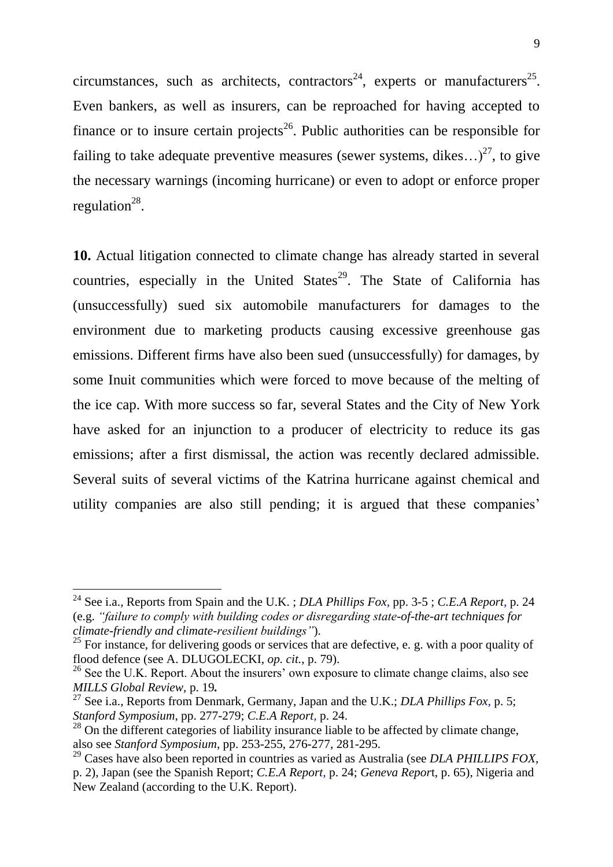circumstances, such as architects, contractors<sup>24</sup>, experts or manufacturers<sup>25</sup>. Even bankers, as well as insurers, can be reproached for having accepted to finance or to insure certain projects<sup>26</sup>. Public authorities can be responsible for failing to take adequate preventive measures (sewer systems, dikes...)<sup>27</sup>, to give the necessary warnings (incoming hurricane) or even to adopt or enforce proper regulation<sup>28</sup>.

**10.** Actual litigation connected to climate change has already started in several countries, especially in the United States<sup>29</sup>. The State of California has (unsuccessfully) sued six automobile manufacturers for damages to the environment due to marketing products causing excessive greenhouse gas emissions. Different firms have also been sued (unsuccessfully) for damages, by some Inuit communities which were forced to move because of the melting of the ice cap. With more success so far, several States and the City of New York have asked for an injunction to a producer of electricity to reduce its gas emissions; after a first dismissal, the action was recently declared admissible. Several suits of several victims of the Katrina hurricane against chemical and utility companies are also still pending; it is argued that these companies'

<sup>24</sup> See i.a., Reports from Spain and the U.K. ; *DLA Phillips Fox,* pp. 3-5 ; *C.E.A Report,* p. 24 (e.g. *"failure to comply with building codes or disregarding state-of-the-art techniques for climate-friendly and climate-resilient buildings"*).

<sup>&</sup>lt;sup>25</sup> For instance, for delivering goods or services that are defective, e. g. with a poor quality of flood defence (see A. DLUGOLECKI, *op. cit.*, p. 79).

 $^{26}$  See the U.K. Report. About the insurers' own exposure to climate change claims, also see *MILLS Global Review,* p. 19*.*

<sup>27</sup> See i.a., Reports from Denmark, Germany, Japan and the U.K.; *DLA Phillips Fox,* p. 5; *Stanford Symposium*, pp. 277-279; *C.E.A Report,* p. 24.

 $^{28}$  On the different categories of liability insurance liable to be affected by climate change, also see *Stanford Symposium*, pp. 253-255, 276-277, 281-295.

<sup>29</sup> Cases have also been reported in countries as varied as Australia (see *DLA PHILLIPS FOX*, p. 2), Japan (see the Spanish Report; *C.E.A Report,* p. 24; *Geneva Repor*t, p. 65), Nigeria and New Zealand (according to the U.K. Report).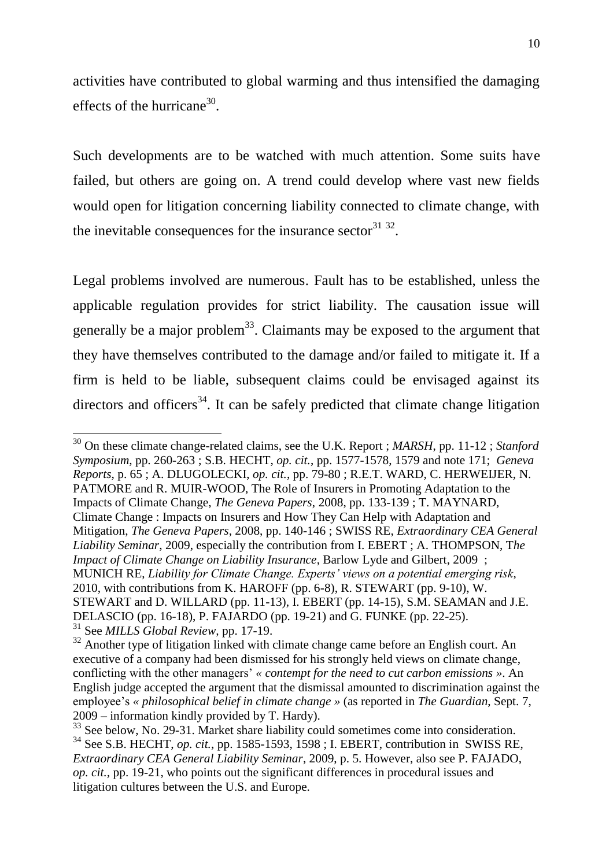activities have contributed to global warming and thus intensified the damaging effects of the hurricane<sup>30</sup>.

Such developments are to be watched with much attention. Some suits have failed, but others are going on. A trend could develop where vast new fields would open for litigation concerning liability connected to climate change, with the inevitable consequences for the insurance sector  $31^{32}$ .

Legal problems involved are numerous. Fault has to be established, unless the applicable regulation provides for strict liability. The causation issue will generally be a major problem<sup>33</sup>. Claimants may be exposed to the argument that they have themselves contributed to the damage and/or failed to mitigate it. If a firm is held to be liable, subsequent claims could be envisaged against its directors and officers<sup>34</sup>. It can be safely predicted that climate change litigation

<sup>30</sup> On these climate change-related claims, see the U.K. Report ; *MARSH*, pp. 11-12 ; *Stanford Symposium*, pp. 260-263 ; S.B. HECHT, *op. cit.*, pp. 1577-1578, 1579 and note 171; *Geneva Reports*, p. 65 ; A. DLUGOLECKI, *op. cit.*, pp. 79-80 ; R.E.T. WARD, C. HERWEIJER, N. PATMORE and R. MUIR-WOOD, The Role of Insurers in Promoting Adaptation to the Impacts of Climate Change, *The Geneva Papers*, 2008, pp. 133-139 ; T. MAYNARD, Climate Change : Impacts on Insurers and How They Can Help with Adaptation and Mitigation, *The Geneva Papers*, 2008, pp. 140-146 ; SWISS RE, *Extraordinary CEA General Liability Seminar*, 2009, especially the contribution from I. EBERT ; A. THOMPSON, T*he Impact of Climate Change on Liability Insurance*, Barlow Lyde and Gilbert, 2009 ; MUNICH RE, *Liability for Climate Change. Experts' views on a potential emerging risk*, 2010, with contributions from K. HAROFF (pp. 6-8), R. STEWART (pp. 9-10), W. STEWART and D. WILLARD (pp. 11-13), I. EBERT (pp. 14-15), S.M. SEAMAN and J.E. DELASCIO (pp. 16-18), P. FAJARDO (pp. 19-21) and G. FUNKE (pp. 22-25). <sup>31</sup> See *MILLS Global Review,* pp. 17-19.

<sup>&</sup>lt;sup>32</sup> Another type of litigation linked with climate change came before an English court. An executive of a company had been dismissed for his strongly held views on climate change, conflicting with the other managers' *« contempt for the need to cut carbon emissions »*. An English judge accepted the argument that the dismissal amounted to discrimination against the employee's *« philosophical belief in climate change »* (as reported in *The Guardian*, Sept. 7, 2009 – information kindly provided by T. Hardy).

<sup>&</sup>lt;sup>33</sup> See below, No. 29-31. Market share liability could sometimes come into consideration. <sup>34</sup> See S.B. HECHT, *op. cit.*, pp. 1585-1593, 1598 ; I. EBERT, contribution in SWISS RE, *Extraordinary CEA General Liability Seminar*, 2009, p. 5. However, also see P. FAJADO, *op. cit.,* pp. 19-21, who points out the significant differences in procedural issues and litigation cultures between the U.S. and Europe.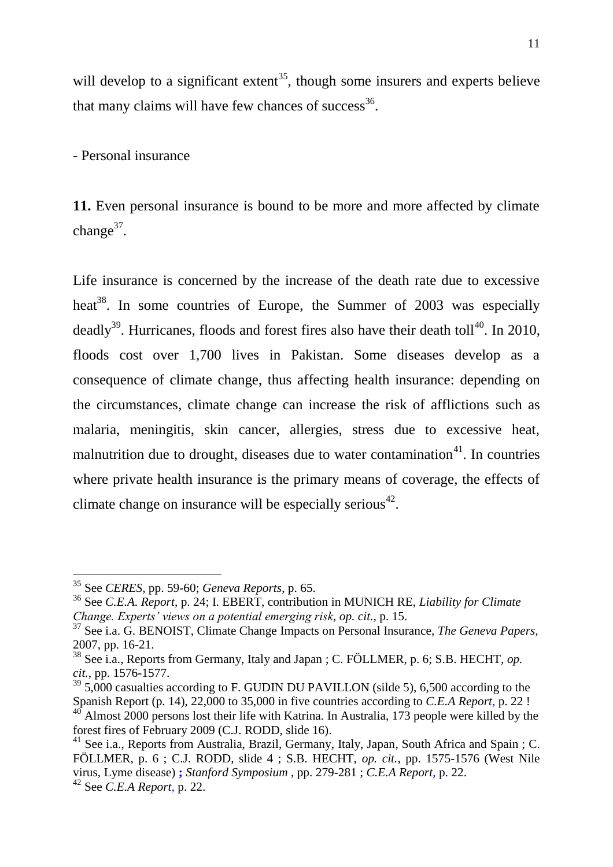will develop to a significant extent<sup>35</sup>, though some insurers and experts believe that many claims will have few chances of success $36$ .

- Personal insurance

**11.** Even personal insurance is bound to be more and more affected by climate change $37$ .

Life insurance is concerned by the increase of the death rate due to excessive heat<sup>38</sup>. In some countries of Europe, the Summer of 2003 was especially deadly<sup>39</sup>. Hurricanes, floods and forest fires also have their death toll<sup>40</sup>. In 2010, floods cost over 1,700 lives in Pakistan. Some diseases develop as a consequence of climate change, thus affecting health insurance: depending on the circumstances, climate change can increase the risk of afflictions such as malaria, meningitis, skin cancer, allergies, stress due to excessive heat, malnutrition due to drought, diseases due to water contamination $41$ . In countries where private health insurance is the primary means of coverage, the effects of climate change on insurance will be especially serious<sup>42</sup>.

<sup>35</sup> See *CERES,* pp. 59-60; *Geneva Reports*, p. 65.

<sup>36</sup> See *C.E.A. Report*, p. 24; I. EBERT, contribution in MUNICH RE, *Liability for Climate Change. Experts' views on a potential emerging risk*, *op. cit.*, p. 15.

<sup>37</sup> See i.a. G. BENOIST, Climate Change Impacts on Personal Insurance, *The Geneva Papers,* 2007, pp. 16-21.

<sup>38</sup> See i.a., Reports from Germany, Italy and Japan ; C. FÖLLMER, p. 6; S.B. HECHT, *op. cit.*, pp. 1576-1577.

 $39\,$  5,000 casualties according to F. GUDIN DU PAVILLON (silde 5), 6,500 according to the Spanish Report (p. 14), 22,000 to 35,000 in five countries according to *C.E.A Report*, p. 22 !

Almost 2000 persons lost their life with Katrina. In Australia, 173 people were killed by the forest fires of February 2009 (C.J. RODD, slide 16).

<sup>&</sup>lt;sup>41</sup> See i.a., Reports from Australia, Brazil, Germany, Italy, Japan, South Africa and Spain ; C. FÖLLMER, p. 6 ; C.J. RODD, slide 4 ; S.B. HECHT, *op. cit.*, pp. 1575-1576 (West Nile virus, Lyme disease) **;** *Stanford Symposium* , pp. 279-281 ; *C.E.A Report,* p. 22.

<sup>42</sup> See *C.E.A Report,* p. 22.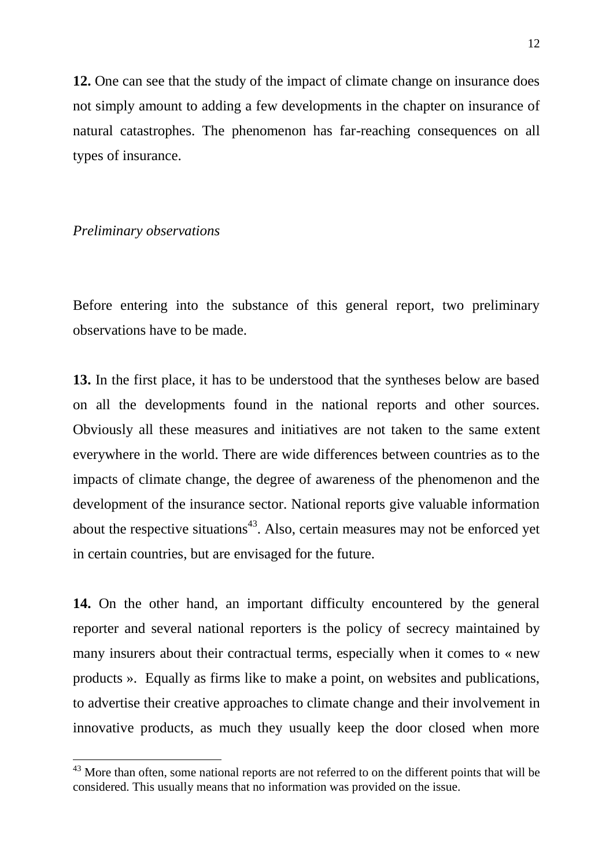**12.** One can see that the study of the impact of climate change on insurance does not simply amount to adding a few developments in the chapter on insurance of natural catastrophes. The phenomenon has far-reaching consequences on all types of insurance.

### *Preliminary observations*

 $\overline{a}$ 

Before entering into the substance of this general report, two preliminary observations have to be made.

**13.** In the first place, it has to be understood that the syntheses below are based on all the developments found in the national reports and other sources. Obviously all these measures and initiatives are not taken to the same extent everywhere in the world. There are wide differences between countries as to the impacts of climate change, the degree of awareness of the phenomenon and the development of the insurance sector. National reports give valuable information about the respective situations<sup>43</sup>. Also, certain measures may not be enforced yet in certain countries, but are envisaged for the future.

**14.** On the other hand, an important difficulty encountered by the general reporter and several national reporters is the policy of secrecy maintained by many insurers about their contractual terms, especially when it comes to « new products ». Equally as firms like to make a point, on websites and publications, to advertise their creative approaches to climate change and their involvement in innovative products, as much they usually keep the door closed when more

 $43$  More than often, some national reports are not referred to on the different points that will be considered. This usually means that no information was provided on the issue.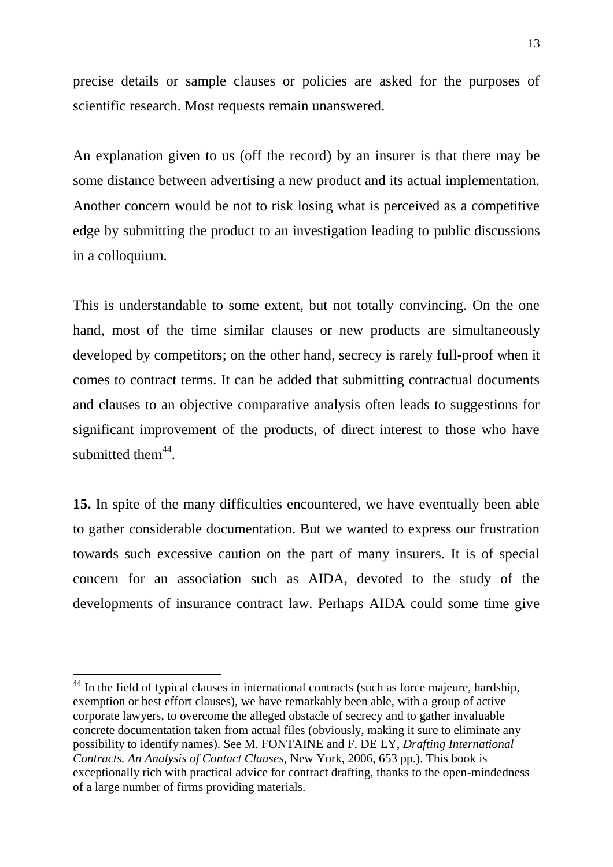precise details or sample clauses or policies are asked for the purposes of scientific research. Most requests remain unanswered.

An explanation given to us (off the record) by an insurer is that there may be some distance between advertising a new product and its actual implementation. Another concern would be not to risk losing what is perceived as a competitive edge by submitting the product to an investigation leading to public discussions in a colloquium.

This is understandable to some extent, but not totally convincing. On the one hand, most of the time similar clauses or new products are simultaneously developed by competitors; on the other hand, secrecy is rarely full-proof when it comes to contract terms. It can be added that submitting contractual documents and clauses to an objective comparative analysis often leads to suggestions for significant improvement of the products, of direct interest to those who have submitted them $44$ .

**15.** In spite of the many difficulties encountered, we have eventually been able to gather considerable documentation. But we wanted to express our frustration towards such excessive caution on the part of many insurers. It is of special concern for an association such as AIDA, devoted to the study of the developments of insurance contract law. Perhaps AIDA could some time give

<sup>&</sup>lt;sup>44</sup> In the field of typical clauses in international contracts (such as force majeure, hardship, exemption or best effort clauses), we have remarkably been able, with a group of active corporate lawyers, to overcome the alleged obstacle of secrecy and to gather invaluable concrete documentation taken from actual files (obviously, making it sure to eliminate any possibility to identify names). See M. FONTAINE and F. DE LY, *Drafting International Contracts. An Analysis of Contact Clauses*, New York, 2006, 653 pp.). This book is exceptionally rich with practical advice for contract drafting, thanks to the open-mindedness of a large number of firms providing materials.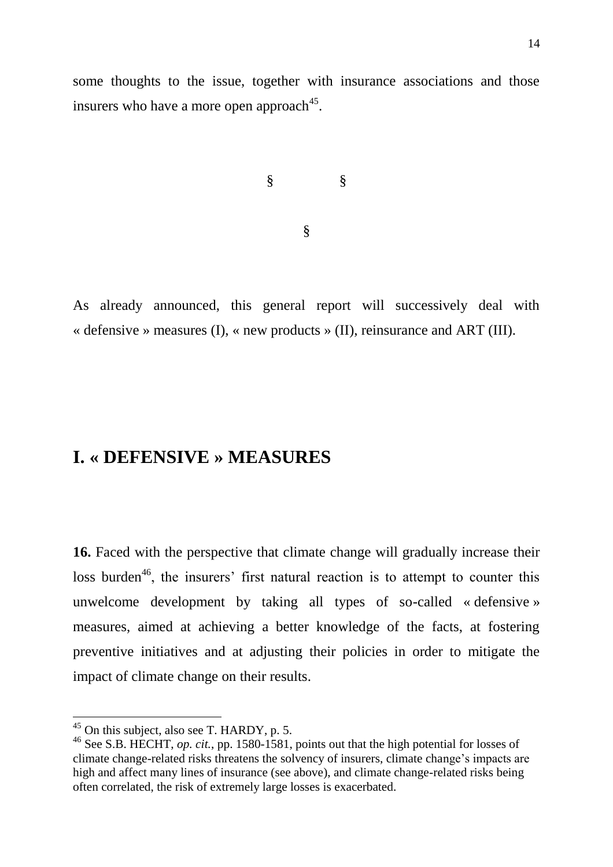some thoughts to the issue, together with insurance associations and those insurers who have a more open approach<sup>45</sup>.

$$
\S \qquad \S
$$

§

As already announced, this general report will successively deal with « defensive » measures (I), « new products » (II), reinsurance and ART (III).

# **I. « DEFENSIVE » MEASURES**

**16.** Faced with the perspective that climate change will gradually increase their loss burden<sup>46</sup>, the insurers' first natural reaction is to attempt to counter this unwelcome development by taking all types of so-called « defensive » measures, aimed at achieving a better knowledge of the facts, at fostering preventive initiatives and at adjusting their policies in order to mitigate the impact of climate change on their results.

 $45$  On this subject, also see T. HARDY, p. 5.

<sup>46</sup> See S.B. HECHT, *op. cit.*, pp. 1580-1581, points out that the high potential for losses of climate change-related risks threatens the solvency of insurers, climate change's impacts are high and affect many lines of insurance (see above), and climate change-related risks being often correlated, the risk of extremely large losses is exacerbated.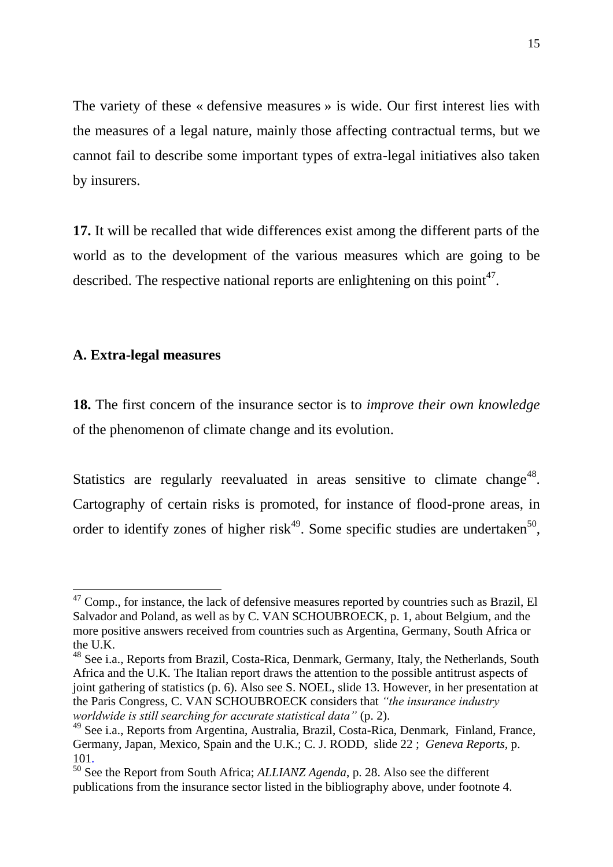The variety of these « defensive measures » is wide. Our first interest lies with the measures of a legal nature, mainly those affecting contractual terms, but we cannot fail to describe some important types of extra-legal initiatives also taken by insurers.

**17.** It will be recalled that wide differences exist among the different parts of the world as to the development of the various measures which are going to be described. The respective national reports are enlightening on this point<sup>47</sup>.

## **A. Extra-legal measures**

 $\overline{a}$ 

**18.** The first concern of the insurance sector is to *improve their own knowledge* of the phenomenon of climate change and its evolution.

Statistics are regularly reevaluated in areas sensitive to climate change<sup>48</sup>. Cartography of certain risks is promoted, for instance of flood-prone areas, in order to identify zones of higher risk<sup>49</sup>. Some specific studies are undertaken<sup>50</sup>,

 $47$  Comp., for instance, the lack of defensive measures reported by countries such as Brazil, El Salvador and Poland, as well as by C. VAN SCHOUBROECK, p. 1, about Belgium, and the more positive answers received from countries such as Argentina, Germany, South Africa or the U.K.

<sup>&</sup>lt;sup>48</sup> See i.a., Reports from Brazil, Costa-Rica, Denmark, Germany, Italy, the Netherlands, South Africa and the U.K. The Italian report draws the attention to the possible antitrust aspects of joint gathering of statistics (p. 6). Also see S. NOEL, slide 13. However, in her presentation at the Paris Congress, C. VAN SCHOUBROECK considers that *"the insurance industry worldwide is still searching for accurate statistical data"* (p. 2).

<sup>&</sup>lt;sup>49</sup> See i.a., Reports from Argentina, Australia, Brazil, Costa-Rica, Denmark, Finland, France, Germany, Japan, Mexico, Spain and the U.K.; C. J. RODD, slide 22 ; *Geneva Reports,* p. 101.

<sup>50</sup> See the Report from South Africa; *ALLIANZ Agenda*, p. 28. Also see the different publications from the insurance sector listed in the bibliography above, under footnote 4.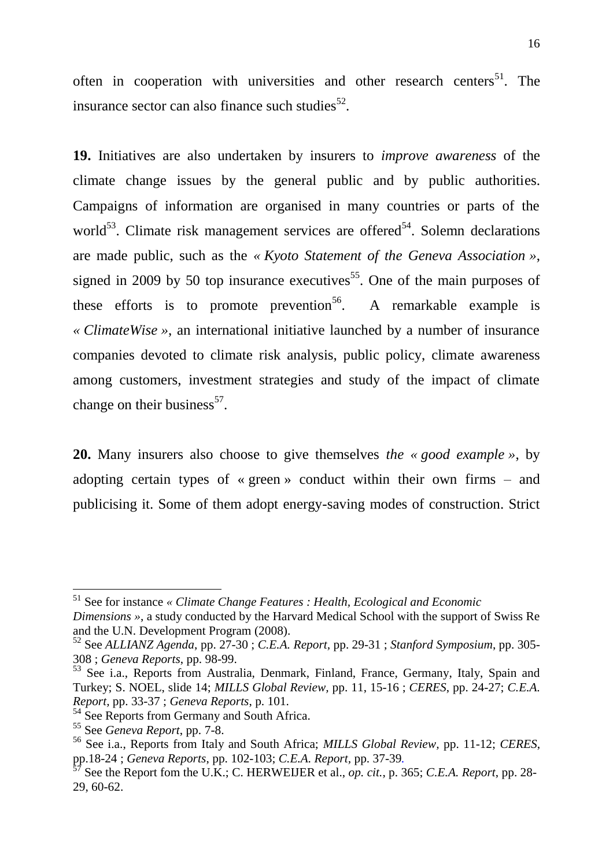often in cooperation with universities and other research centers<sup>51</sup>. The insurance sector can also finance such studies $^{52}$ .

**19.** Initiatives are also undertaken by insurers to *improve awareness* of the climate change issues by the general public and by public authorities. Campaigns of information are organised in many countries or parts of the world<sup>53</sup>. Climate risk management services are offered<sup>54</sup>. Solemn declarations are made public, such as the *« Kyoto Statement of the Geneva Association »*, signed in 2009 by 50 top insurance executives<sup>55</sup>. One of the main purposes of these efforts is to promote prevention<sup>56</sup>. A remarkable example is *« ClimateWise »*, an international initiative launched by a number of insurance companies devoted to climate risk analysis, public policy, climate awareness among customers, investment strategies and study of the impact of climate change on their business $^{57}$ .

**20.** Many insurers also choose to give themselves *the « good example »*, by adopting certain types of « green » conduct within their own firms – and publicising it. Some of them adopt energy-saving modes of construction. Strict

<sup>51</sup> See for instance *« Climate Change Features : Health, Ecological and Economic Dimensions »*, a study conducted by the Harvard Medical School with the support of Swiss Re and the U.N. Development Program (2008).

<sup>52</sup> See *ALLIANZ Agenda*, pp. 27-30 ; *C.E.A. Report,* pp. 29-31 ; *Stanford Symposium*, pp. 305- 308 ; *Geneva Reports*, pp. 98-99.

<sup>53</sup> See i.a., Reports from Australia, Denmark, Finland, France, Germany, Italy, Spain and Turkey; S. NOEL, slide 14; *MILLS Global Review,* pp. 11, 15-16 ; *CERES*, pp. 24-27; *C.E.A. Report,* pp. 33-37 ; *Geneva Reports*, p. 101.

<sup>&</sup>lt;sup>54</sup> See Reports from Germany and South Africa.

<sup>55</sup> See *Geneva Report*, pp. 7-8.

<sup>56</sup> See i.a., Reports from Italy and South Africa; *MILLS Global Review,* pp. 11-12; *CERES*, pp.18-24 ; *Geneva Reports*, pp. 102-103; *C.E.A. Report,* pp. 37-39*.*

 $^7$  See the Report fom the U.K.; C. HERWEIJER et al., *op. cit.*, p. 365; *C.E.A. Report*, pp. 28-29, 60-62.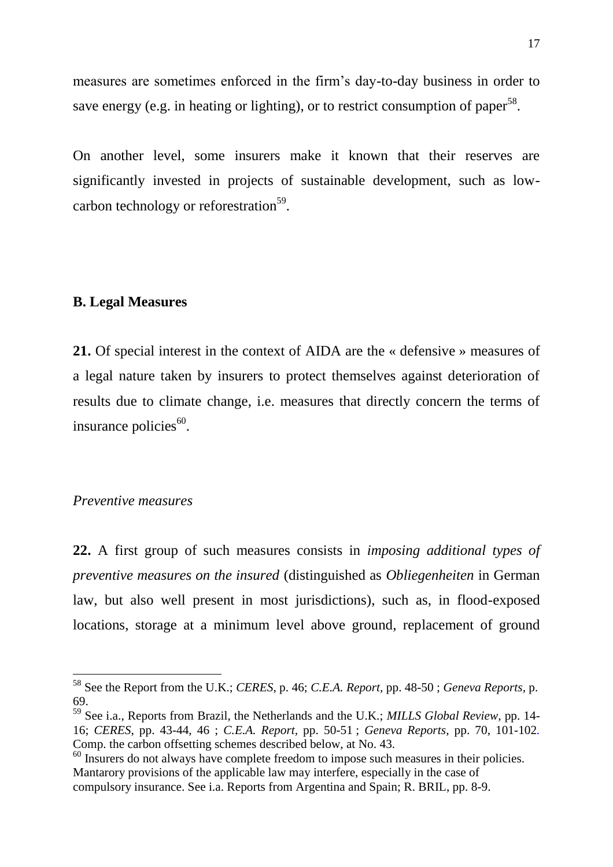measures are sometimes enforced in the firm's day-to-day business in order to save energy (e.g. in heating or lighting), or to restrict consumption of paper<sup>58</sup>.

On another level, some insurers make it known that their reserves are significantly invested in projects of sustainable development, such as lowcarbon technology or reforestration<sup>59</sup>.

#### **B. Legal Measures**

**21.** Of special interest in the context of AIDA are the « defensive » measures of a legal nature taken by insurers to protect themselves against deterioration of results due to climate change, i.e. measures that directly concern the terms of insurance policies<sup>60</sup>.

#### *Preventive measures*

 $\overline{a}$ 

**22.** A first group of such measures consists in *imposing additional types of preventive measures on the insured* (distinguished as *Obliegenheiten* in German law, but also well present in most jurisdictions), such as, in flood-exposed locations, storage at a minimum level above ground, replacement of ground

<sup>58</sup> See the Report from the U.K.; *CERES*, p. 46; *C.E.A. Report,* pp. 48-50 ; *Geneva Reports*, p. 69.

<sup>59</sup> See i.a., Reports from Brazil, the Netherlands and the U.K.; *MILLS Global Review,* pp. 14- 16; *CERES*, pp. 43-44, 46 ; *C.E.A. Report,* pp. 50-51 ; *Geneva Reports*, pp. 70, 101-102*.* Comp. the carbon offsetting schemes described below, at No. 43.

<sup>&</sup>lt;sup>60</sup> Insurers do not always have complete freedom to impose such measures in their policies. Mantarory provisions of the applicable law may interfere, especially in the case of compulsory insurance. See i.a. Reports from Argentina and Spain; R. BRIL, pp. 8-9.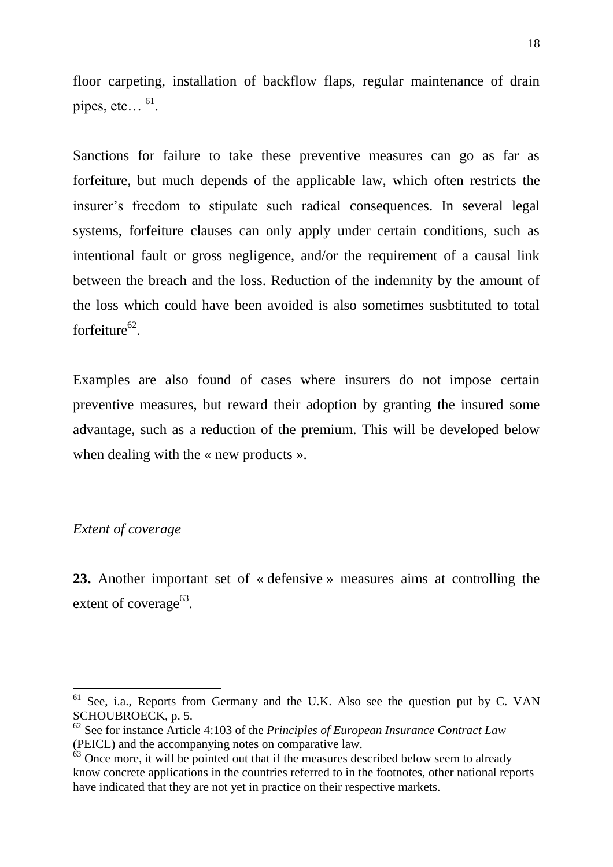floor carpeting, installation of backflow flaps, regular maintenance of drain pipes, etc... $^{61}$ .

Sanctions for failure to take these preventive measures can go as far as forfeiture, but much depends of the applicable law, which often restricts the insurer's freedom to stipulate such radical consequences. In several legal systems, forfeiture clauses can only apply under certain conditions, such as intentional fault or gross negligence, and/or the requirement of a causal link between the breach and the loss. Reduction of the indemnity by the amount of the loss which could have been avoided is also sometimes susbtituted to total forfeiture<sup>62</sup>.

Examples are also found of cases where insurers do not impose certain preventive measures, but reward their adoption by granting the insured some advantage, such as a reduction of the premium. This will be developed below when dealing with the « new products ».

# *Extent of coverage*

 $\overline{a}$ 

**23.** Another important set of « defensive » measures aims at controlling the extent of coverage $^{63}$ .

 $61$  See, i.a., Reports from Germany and the U.K. Also see the question put by C. VAN SCHOUBROECK, p. 5.

<sup>62</sup> See for instance Article 4:103 of the *Principles of European Insurance Contract Law* (PEICL) and the accompanying notes on comparative law.

 $\frac{63}{100}$  Once more, it will be pointed out that if the measures described below seem to already know concrete applications in the countries referred to in the footnotes, other national reports have indicated that they are not yet in practice on their respective markets.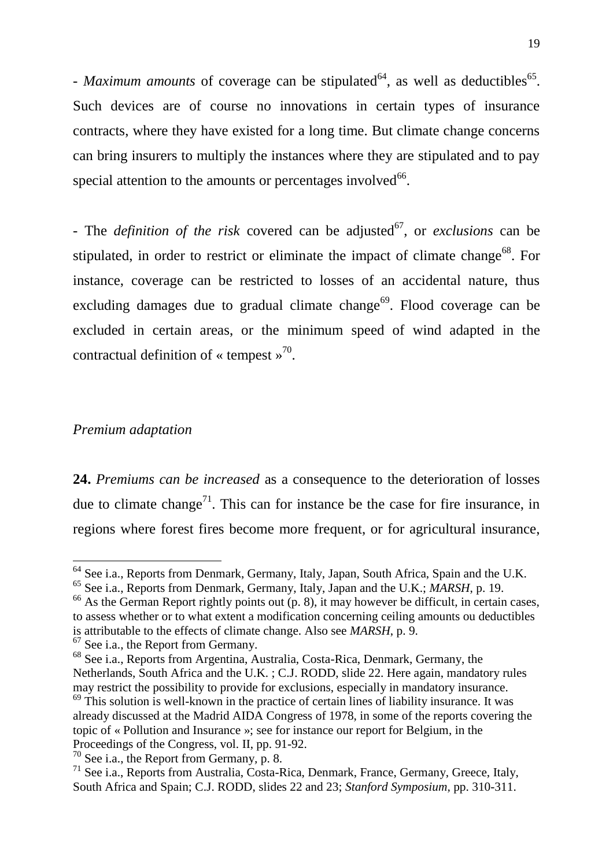- *Maximum amounts* of coverage can be stipulated<sup>64</sup>, as well as deductibles<sup>65</sup>. Such devices are of course no innovations in certain types of insurance contracts, where they have existed for a long time. But climate change concerns can bring insurers to multiply the instances where they are stipulated and to pay special attention to the amounts or percentages involved $^{66}$ .

- The *definition of the risk* covered can be adjusted<sup>67</sup>, or *exclusions* can be stipulated, in order to restrict or eliminate the impact of climate change<sup>68</sup>. For instance, coverage can be restricted to losses of an accidental nature, thus excluding damages due to gradual climate change<sup>69</sup>. Flood coverage can be excluded in certain areas, or the minimum speed of wind adapted in the contractual definition of « tempest  $\frac{1}{2}$ <sup>70</sup>.

## *Premium adaptation*

 $\overline{a}$ 

**24.** *Premiums can be increased* as a consequence to the deterioration of losses due to climate change<sup>71</sup>. This can for instance be the case for fire insurance, in regions where forest fires become more frequent, or for agricultural insurance,

 $66$  As the German Report rightly points out (p. 8), it may however be difficult, in certain cases, to assess whether or to what extent a modification concerning ceiling amounts ou deductibles is attributable to the effects of climate change. Also see *MARSH*, p. 9.

 $67$  See i.a., the Report from Germany.

<sup>&</sup>lt;sup>64</sup> See i.a., Reports from Denmark, Germany, Italy, Japan, South Africa, Spain and the U.K.

<sup>65</sup> See i.a., Reports from Denmark, Germany, Italy, Japan and the U.K.; *MARSH*, p. 19.

<sup>68</sup> See i.a., Reports from Argentina, Australia, Costa-Rica, Denmark, Germany, the Netherlands, South Africa and the U.K. ; C.J. RODD, slide 22. Here again, mandatory rules may restrict the possibility to provide for exclusions, especially in mandatory insurance.  $69$  This solution is well-known in the practice of certain lines of liability insurance. It was

already discussed at the Madrid AIDA Congress of 1978, in some of the reports covering the topic of « Pollution and Insurance »; see for instance our report for Belgium, in the Proceedings of the Congress, vol. II, pp. 91-92.

<sup>70</sup> See i.a., the Report from Germany*,* p. 8.

 $71$  See i.a., Reports from Australia, Costa-Rica, Denmark, France, Germany, Greece, Italy, South Africa and Spain; C.J. RODD, slides 22 and 23; *Stanford Symposium,* pp. 310-311.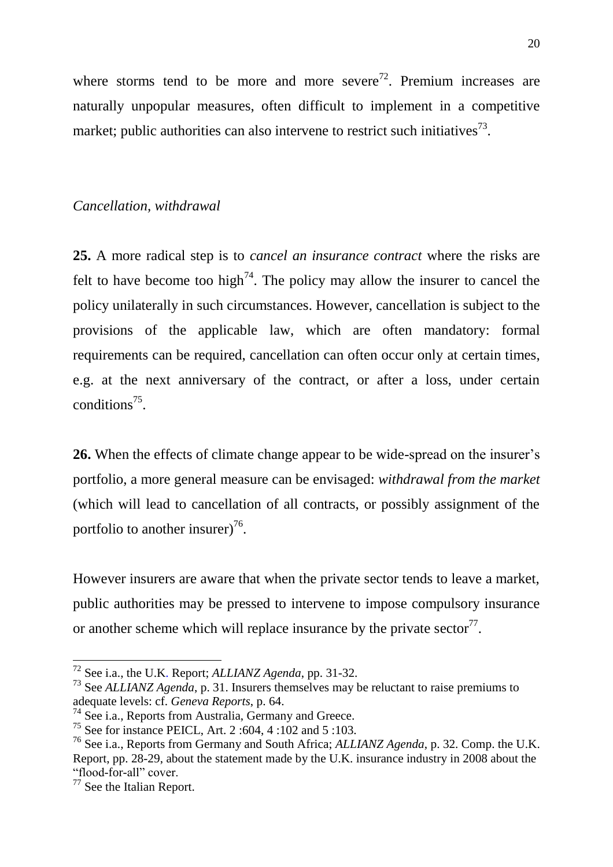where storms tend to be more and more severe<sup>72</sup>. Premium increases are naturally unpopular measures, often difficult to implement in a competitive market; public authorities can also intervene to restrict such initiatives<sup>73</sup>.

## *Cancellation, withdrawal*

**25.** A more radical step is to *cancel an insurance contract* where the risks are felt to have become too high<sup>74</sup>. The policy may allow the insurer to cancel the policy unilaterally in such circumstances. However, cancellation is subject to the provisions of the applicable law, which are often mandatory: formal requirements can be required, cancellation can often occur only at certain times, e.g. at the next anniversary of the contract, or after a loss, under certain conditions<sup>75</sup>.

**26.** When the effects of climate change appear to be wide-spread on the insurer's portfolio, a more general measure can be envisaged: *withdrawal from the market*  (which will lead to cancellation of all contracts, or possibly assignment of the portfolio to another insurer) $^{76}$ .

However insurers are aware that when the private sector tends to leave a market, public authorities may be pressed to intervene to impose compulsory insurance or another scheme which will replace insurance by the private sector<sup>77</sup>.

<sup>72</sup> See i.a., the U.K. Report; *ALLIANZ Agenda*, pp. 31-32.

<sup>73</sup> See *ALLIANZ Agenda*, p. 31. Insurers themselves may be reluctant to raise premiums to adequate levels: cf. *Geneva Reports*, p. 64.

<sup>74</sup> See i.a., Reports from Australia, Germany and Greece.

<sup>75</sup> See for instance PEICL, Art. 2 :604, 4 :102 and 5 :103.

<sup>76</sup> See i.a., Reports from Germany and South Africa; *ALLIANZ Agenda*, p. 32. Comp. the U.K. Report, pp. 28-29, about the statement made by the U.K. insurance industry in 2008 about the "flood-for-all" cover.

<sup>&</sup>lt;sup>77</sup> See the Italian Report.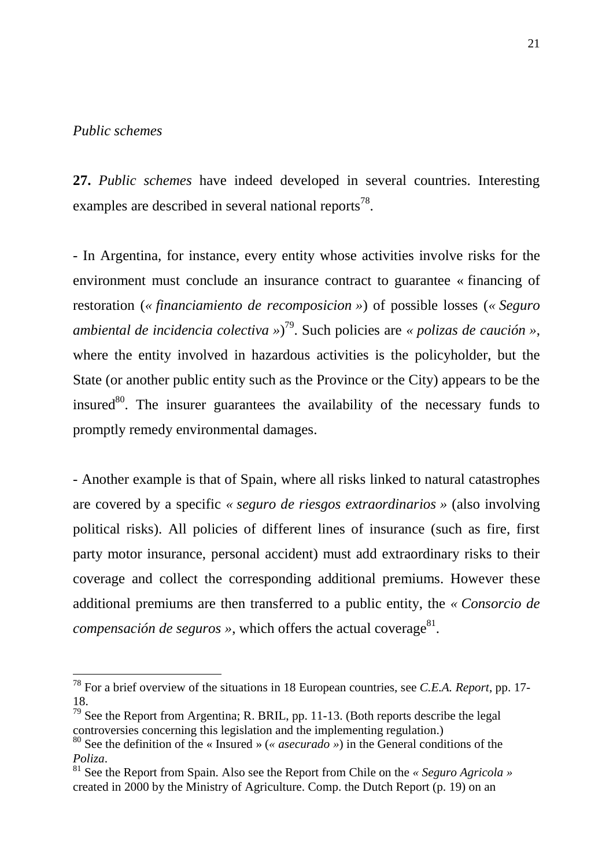# *Public schemes*

 $\overline{a}$ 

**27.** *Public schemes* have indeed developed in several countries. Interesting examples are described in several national reports<sup>78</sup>.

- In Argentina, for instance, every entity whose activities involve risks for the environment must conclude an insurance contract to guarantee « financing of restoration (*« financiamiento de recomposicion »*) of possible losses (*« Seguro ambiental de incidencia colectiva »*) <sup>79</sup>. Such policies are *« polizas de caución »*, where the entity involved in hazardous activities is the policyholder, but the State (or another public entity such as the Province or the City) appears to be the insured $80$ . The insurer guarantees the availability of the necessary funds to promptly remedy environmental damages.

- Another example is that of Spain, where all risks linked to natural catastrophes are covered by a specific *« seguro de riesgos extraordinarios »* (also involving political risks). All policies of different lines of insurance (such as fire, first party motor insurance, personal accident) must add extraordinary risks to their coverage and collect the corresponding additional premiums. However these additional premiums are then transferred to a public entity, the *« Consorcio de compensación de seguros* », which offers the actual coverage<sup>81</sup>.

<sup>78</sup> For a brief overview of the situations in 18 European countries, see *C.E.A. Report*, pp. 17- 18.

 $79$  See the Report from Argentina; R. BRIL, pp. 11-13. (Both reports describe the legal controversies concerning this legislation and the implementing regulation.)

<sup>80</sup> See the definition of the « Insured » (*« asecurado »*) in the General conditions of the *Poliza*.

<sup>81</sup> See the Report from Spain. Also see the Report from Chile on the *« Seguro Agricola »* created in 2000 by the Ministry of Agriculture. Comp. the Dutch Report (p. 19) on an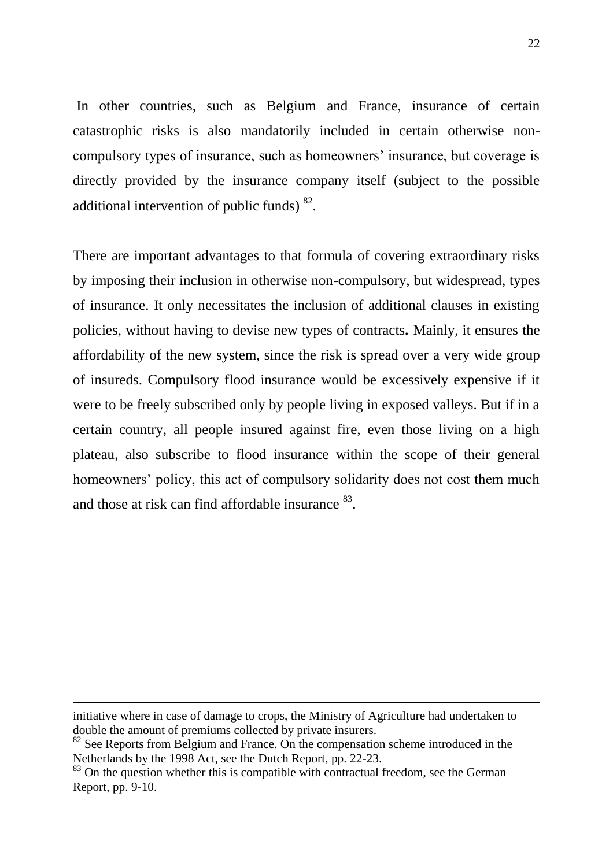In other countries, such as Belgium and France, insurance of certain catastrophic risks is also mandatorily included in certain otherwise noncompulsory types of insurance, such as homeowners' insurance, but coverage is directly provided by the insurance company itself (subject to the possible additional intervention of public funds)  $^{82}$ .

There are important advantages to that formula of covering extraordinary risks by imposing their inclusion in otherwise non-compulsory, but widespread, types of insurance. It only necessitates the inclusion of additional clauses in existing policies, without having to devise new types of contracts*.* Mainly, it ensures the affordability of the new system, since the risk is spread over a very wide group of insureds. Compulsory flood insurance would be excessively expensive if it were to be freely subscribed only by people living in exposed valleys. But if in a certain country, all people insured against fire, even those living on a high plateau, also subscribe to flood insurance within the scope of their general homeowners' policy, this act of compulsory solidarity does not cost them much and those at risk can find affordable insurance <sup>83</sup>.

1

initiative where in case of damage to crops, the Ministry of Agriculture had undertaken to double the amount of premiums collected by private insurers.

 $82$  See Reports from Belgium and France. On the compensation scheme introduced in the Netherlands by the 1998 Act, see the Dutch Report, pp. 22-23.

<sup>&</sup>lt;sup>83</sup> On the question whether this is compatible with contractual freedom, see the German Report, pp. 9-10.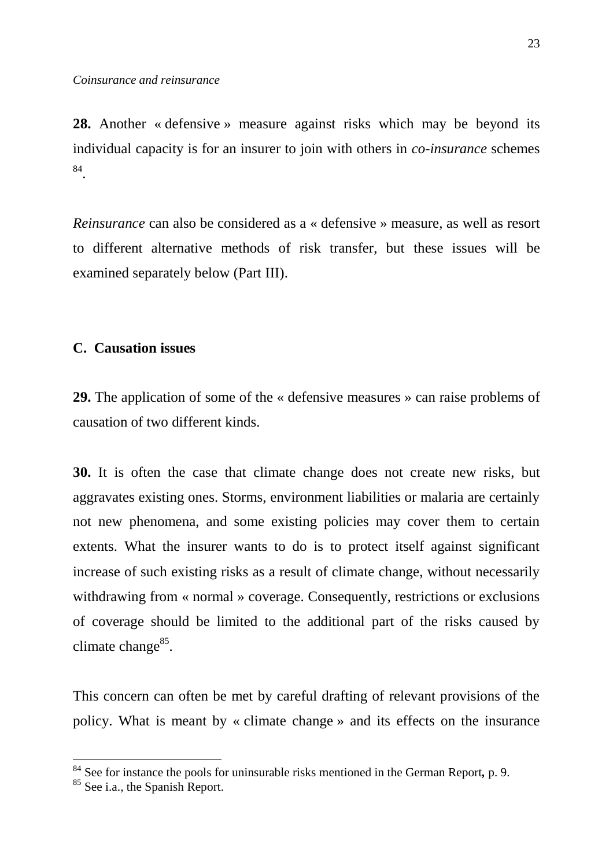**28.** Another « defensive » measure against risks which may be beyond its individual capacity is for an insurer to join with others in *co-insurance* schemes 84 .

*Reinsurance* can also be considered as a « defensive » measure, as well as resort to different alternative methods of risk transfer, but these issues will be examined separately below (Part III).

# **C. Causation issues**

**29.** The application of some of the « defensive measures » can raise problems of causation of two different kinds.

**30.** It is often the case that climate change does not create new risks, but aggravates existing ones. Storms, environment liabilities or malaria are certainly not new phenomena, and some existing policies may cover them to certain extents. What the insurer wants to do is to protect itself against significant increase of such existing risks as a result of climate change, without necessarily withdrawing from « normal » coverage. Consequently, restrictions or exclusions of coverage should be limited to the additional part of the risks caused by climate change<sup>85</sup>.

This concern can often be met by careful drafting of relevant provisions of the policy. What is meant by « climate change » and its effects on the insurance

<sup>84</sup> See for instance the pools for uninsurable risks mentioned in the German Report*,* p. 9.

<sup>&</sup>lt;sup>85</sup> See i.a., the Spanish Report.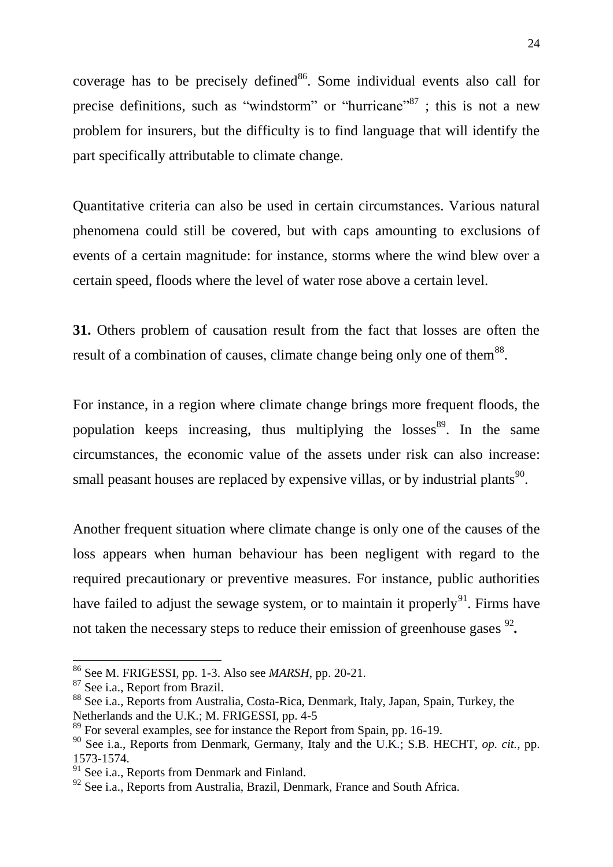coverage has to be precisely defined  $86$ . Some individual events also call for precise definitions, such as "windstorm" or "hurricane"<sup>87</sup>; this is not a new problem for insurers, but the difficulty is to find language that will identify the part specifically attributable to climate change.

Quantitative criteria can also be used in certain circumstances. Various natural phenomena could still be covered, but with caps amounting to exclusions of events of a certain magnitude: for instance, storms where the wind blew over a certain speed, floods where the level of water rose above a certain level.

**31.** Others problem of causation result from the fact that losses are often the result of a combination of causes, climate change being only one of them<sup>88</sup>.

For instance, in a region where climate change brings more frequent floods, the population keeps increasing, thus multiplying the losses<sup>89</sup>. In the same circumstances, the economic value of the assets under risk can also increase: small peasant houses are replaced by expensive villas, or by industrial plants<sup>90</sup>.

Another frequent situation where climate change is only one of the causes of the loss appears when human behaviour has been negligent with regard to the required precautionary or preventive measures. For instance, public authorities have failed to adjust the sewage system, or to maintain it properly<sup>91</sup>. Firms have not taken the necessary steps to reduce their emission of greenhouse gases <sup>92</sup>.

<sup>86</sup> See M. FRIGESSI, pp. 1-3. Also see *MARSH*, pp. 20-21.

<sup>87</sup> See i.a., Report from Brazil.

<sup>88</sup> See i.a., Reports from Australia, Costa-Rica, Denmark, Italy, Japan, Spain, Turkey, the Netherlands and the U.K.; M. FRIGESSI, pp. 4-5

 $89$  For several examples, see for instance the Report from Spain, pp. 16-19.

<sup>90</sup> See i.a., Reports from Denmark, Germany, Italy and the U.K*.*; S.B. HECHT, *op. cit.*, pp. 1573-1574.

<sup>&</sup>lt;sup>91</sup> See i.a., Reports from Denmark and Finland.

<sup>&</sup>lt;sup>92</sup> See i.a., Reports from Australia, Brazil, Denmark, France and South Africa.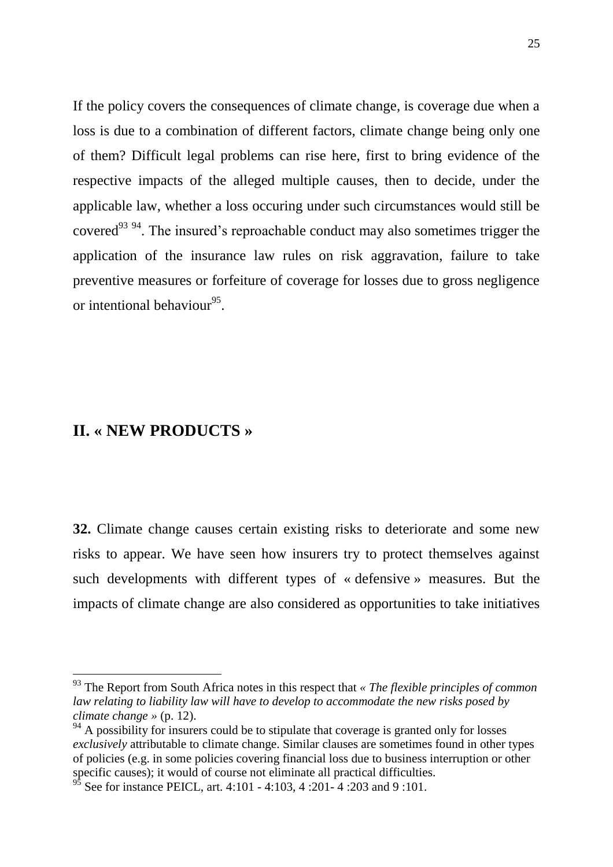If the policy covers the consequences of climate change, is coverage due when a loss is due to a combination of different factors, climate change being only one of them? Difficult legal problems can rise here, first to bring evidence of the respective impacts of the alleged multiple causes, then to decide, under the applicable law, whether a loss occuring under such circumstances would still be covered<sup>93 94</sup>. The insured's reproachable conduct may also sometimes trigger the application of the insurance law rules on risk aggravation, failure to take preventive measures or forfeiture of coverage for losses due to gross negligence or intentional behaviour<sup>95</sup>.

# **II. « NEW PRODUCTS »**

 $\overline{a}$ 

**32.** Climate change causes certain existing risks to deteriorate and some new risks to appear. We have seen how insurers try to protect themselves against such developments with different types of « defensive » measures. But the impacts of climate change are also considered as opportunities to take initiatives

<sup>93</sup> The Report from South Africa notes in this respect that *« The flexible principles of common law relating to liability law will have to develop to accommodate the new risks posed by climate change »* (p. 12).

 $94$  A possibility for insurers could be to stipulate that coverage is granted only for losses *exclusively* attributable to climate change. Similar clauses are sometimes found in other types of policies (e.g. in some policies covering financial loss due to business interruption or other specific causes); it would of course not eliminate all practical difficulties.

See for instance PEICL, art. 4:101 - 4:103, 4:201- 4:203 and 9:101.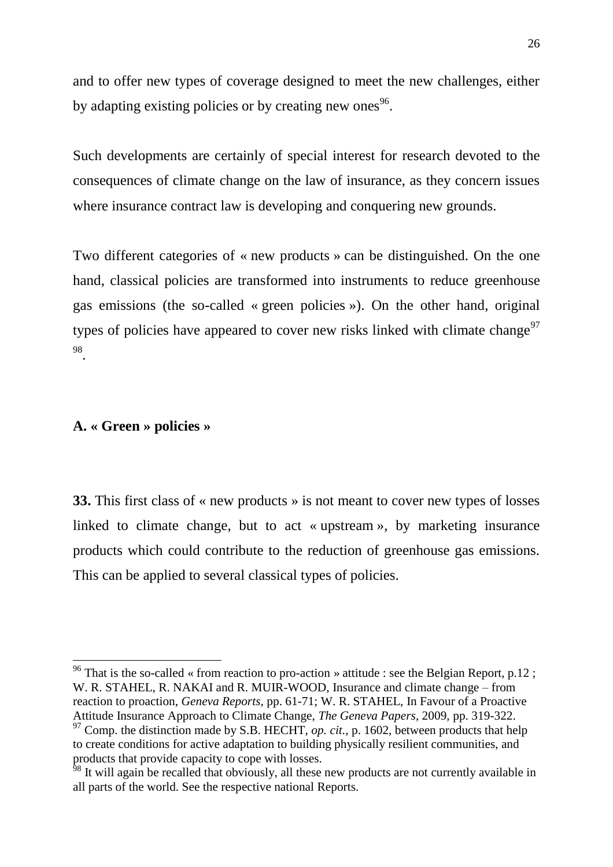and to offer new types of coverage designed to meet the new challenges, either by adapting existing policies or by creating new ones<sup>96</sup>.

Such developments are certainly of special interest for research devoted to the consequences of climate change on the law of insurance, as they concern issues where insurance contract law is developing and conquering new grounds.

Two different categories of « new products » can be distinguished. On the one hand, classical policies are transformed into instruments to reduce greenhouse gas emissions (the so-called « green policies »). On the other hand, original types of policies have appeared to cover new risks linked with climate change<sup>97</sup> 98 .

# **A. « Green » policies »**

 $\overline{a}$ 

**33.** This first class of « new products » is not meant to cover new types of losses linked to climate change, but to act « upstream », by marketing insurance products which could contribute to the reduction of greenhouse gas emissions. This can be applied to several classical types of policies.

<sup>&</sup>lt;sup>96</sup> That is the so-called « from reaction to pro-action » attitude : see the Belgian Report, p.12; W. R. STAHEL, R. NAKAI and R. MUIR-WOOD, Insurance and climate change – from reaction to proaction, *Geneva Reports,* pp. 61-71; W. R. STAHEL, In Favour of a Proactive Attitude Insurance Approach to Climate Change, *The Geneva Papers*, 2009, pp. 319-322.  $97$  Comp. the distinction made by S.B. HECHT, *op. cit.*, p. 1602, between products that help

to create conditions for active adaptation to building physically resilient communities, and products that provide capacity to cope with losses.

<sup>&</sup>lt;sup>98</sup> It will again be recalled that obviously, all these new products are not currently available in all parts of the world. See the respective national Reports.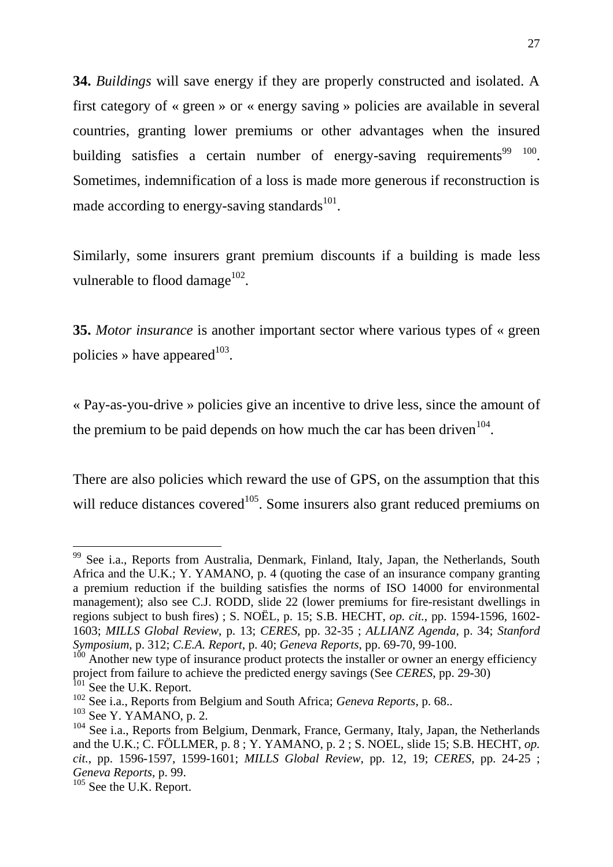**34.** *Buildings* will save energy if they are properly constructed and isolated. A first category of « green » or « energy saving » policies are available in several countries, granting lower premiums or other advantages when the insured building satisfies a certain number of energy-saving requirements<sup>99</sup>  $100$ . Sometimes, indemnification of a loss is made more generous if reconstruction is made according to energy-saving standards $^{101}$ .

Similarly, some insurers grant premium discounts if a building is made less vulnerable to flood damage $^{102}$ .

**35.** *Motor insurance* is another important sector where various types of « green policies » have appeared  $103$ .

« Pay-as-you-drive » policies give an incentive to drive less, since the amount of the premium to be paid depends on how much the car has been driven  $104$ .

There are also policies which reward the use of GPS, on the assumption that this will reduce distances covered<sup>105</sup>. Some insurers also grant reduced premiums on

<sup>&</sup>lt;sup>99</sup> See i.a., Reports from Australia, Denmark, Finland, Italy, Japan, the Netherlands, South Africa and the U.K.; Y. YAMANO, p. 4 (quoting the case of an insurance company granting a premium reduction if the building satisfies the norms of ISO 14000 for environmental management); also see C.J. RODD, slide 22 (lower premiums for fire-resistant dwellings in regions subject to bush fires) ; S. NOËL, p. 15; S.B. HECHT, *op. cit.*, pp. 1594-1596*,* 1602- 1603; *MILLS Global Review*, p. 13; *CERES*, pp. 32-35 ; *ALLIANZ Agenda*, p. 34; *Stanford Symposium*, p. 312; *C.E.A. Report*, p. 40; *Geneva Reports*, pp. 69-70, 99-100.

 $100$  Another new type of insurance product protects the installer or owner an energy efficiency project from failure to achieve the predicted energy savings (See *CERES*, pp. 29-30) <sup>101</sup> See the U.K. Report.

<sup>102</sup> See i.a., Reports from Belgium and South Africa; *Geneva Reports*, p. 68..

 $103$  See Y. YAMANO, p. 2.

<sup>&</sup>lt;sup>104</sup> See i.a., Reports from Belgium, Denmark, France, Germany, Italy, Japan, the Netherlands and the U.K.; C. FÖLLMER, p. 8 ; Y. YAMANO, p. 2 ; S. NOEL, slide 15; S.B. HECHT, *op. cit.*, pp. 1596-1597, 1599-1601; *MILLS Global Review*, pp. 12, 19; *CERES*, pp. 24-25 ; *Geneva Reports*, p. 99.

<sup>&</sup>lt;sup>105</sup> See the U.K. Report.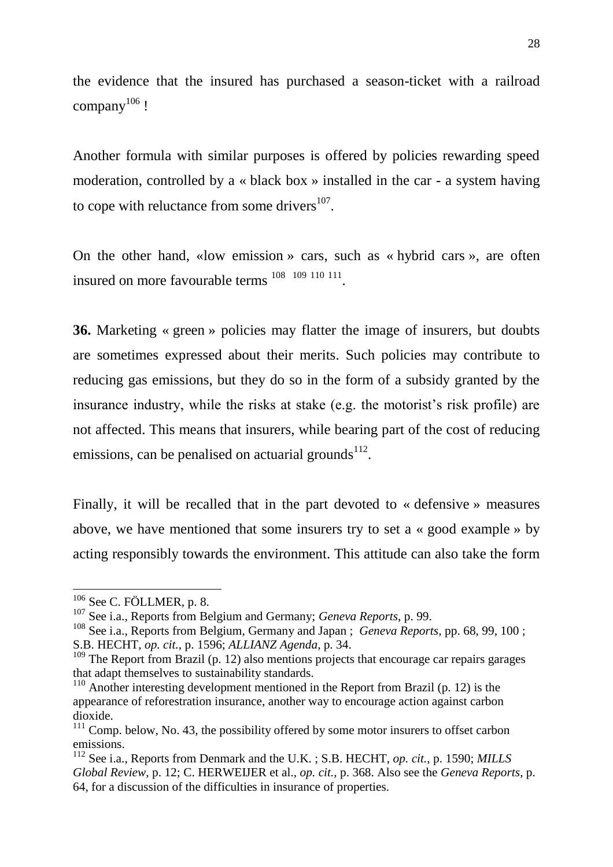the evidence that the insured has purchased a season-ticket with a railroad company<sup>106</sup> !

Another formula with similar purposes is offered by policies rewarding speed moderation, controlled by a « black box » installed in the car - a system having to cope with reluctance from some drivers $107$ .

On the other hand, «low emission » cars, such as « hybrid cars », are often insured on more favourable terms  $^{108}$   $^{109}$   $^{110}$   $^{111}$ .

**36.** Marketing « green » policies may flatter the image of insurers, but doubts are sometimes expressed about their merits. Such policies may contribute to reducing gas emissions, but they do so in the form of a subsidy granted by the insurance industry, while the risks at stake (e.g. the motorist's risk profile) are not affected. This means that insurers, while bearing part of the cost of reducing emissions, can be penalised on actuarial grounds $^{112}$ .

Finally, it will be recalled that in the part devoted to « defensive » measures above, we have mentioned that some insurers try to set a « good example » by acting responsibly towards the environment. This attitude can also take the form

 $106$  See C. FÖLLMER, p. 8.

<sup>107</sup> See i.a., Reports from Belgium and Germany; *Geneva Reports*, p. 99.

<sup>108</sup> See i.a., Reports from Belgium, Germany and Japan ; *Geneva Reports,* pp. 68, 99, 100 ; S.B. HECHT, *op. cit.*, p. 1596; *ALLIANZ Agenda*, p. 34.

 $109$  The Report from Brazil (p. 12) also mentions projects that encourage car repairs garages that adapt themselves to sustainability standards.

 $110$  Another interesting development mentioned in the Report from Brazil (p. 12) is the appearance of reforestration insurance, another way to encourage action against carbon dioxide.

 $111$  Comp. below, No. 43, the possibility offered by some motor insurers to offset carbon emissions.

<sup>112</sup> See i.a., Reports from Denmark and the U.K. ; S.B. HECHT, *op. cit.*, p. 1590; *MILLS Global Review*, p. 12; C. HERWEIJER et al., *op. cit.,* p. 368. Also see the *Geneva Reports*, p. 64, for a discussion of the difficulties in insurance of properties.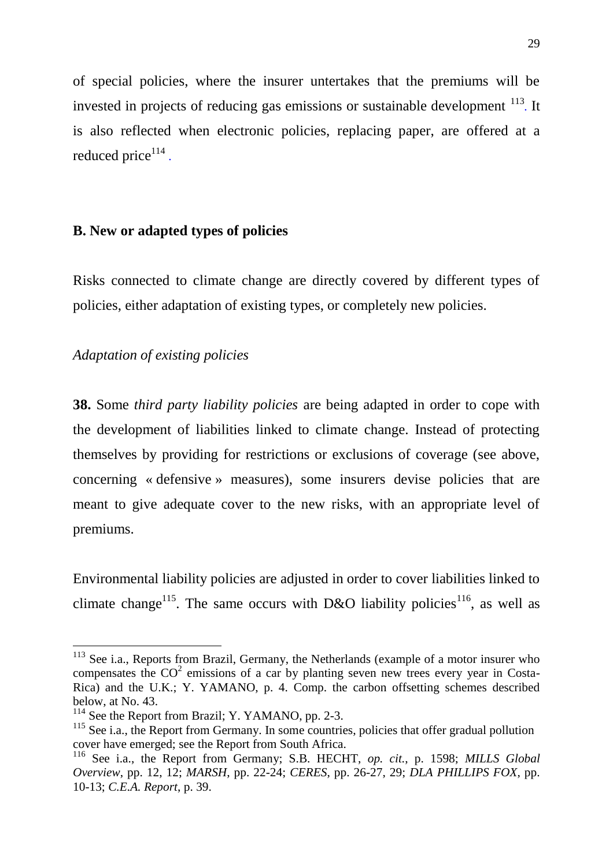of special policies, where the insurer untertakes that the premiums will be invested in projects of reducing gas emissions or sustainable development <sup>113</sup>. It is also reflected when electronic policies, replacing paper, are offered at a reduced price<sup>114</sup>.

# **B. New or adapted types of policies**

Risks connected to climate change are directly covered by different types of policies, either adaptation of existing types, or completely new policies.

# *Adaptation of existing policies*

 $\overline{a}$ 

**38.** Some *third party liability policies* are being adapted in order to cope with the development of liabilities linked to climate change. Instead of protecting themselves by providing for restrictions or exclusions of coverage (see above, concerning « defensive » measures), some insurers devise policies that are meant to give adequate cover to the new risks, with an appropriate level of premiums.

Environmental liability policies are adjusted in order to cover liabilities linked to climate change<sup>115</sup>. The same occurs with D&O liability policies<sup>116</sup>, as well as

<sup>&</sup>lt;sup>113</sup> See i.a., Reports from Brazil, Germany, the Netherlands (example of a motor insurer who compensates the  $CO<sup>2</sup>$  emissions of a car by planting seven new trees every year in Costa-Rica) and the U.K.; Y. YAMANO, p. 4. Comp. the carbon offsetting schemes described below, at No. 43.

 $114$  See the Report from Brazil; Y. YAMANO, pp. 2-3.

<sup>&</sup>lt;sup>115</sup> See i.a., the Report from Germany. In some countries, policies that offer gradual pollution cover have emerged; see the Report from South Africa.

<sup>116</sup> See i.a., the Report from Germany; S.B. HECHT, *op. cit.*, p. 1598; *MILLS Global Overview*, pp. 12, 12; *MARSH*, pp. 22-24; *CERES*, pp. 26-27, 29; *DLA PHILLIPS FOX*, pp. 10-13; *C.E.A. Report*, p. 39.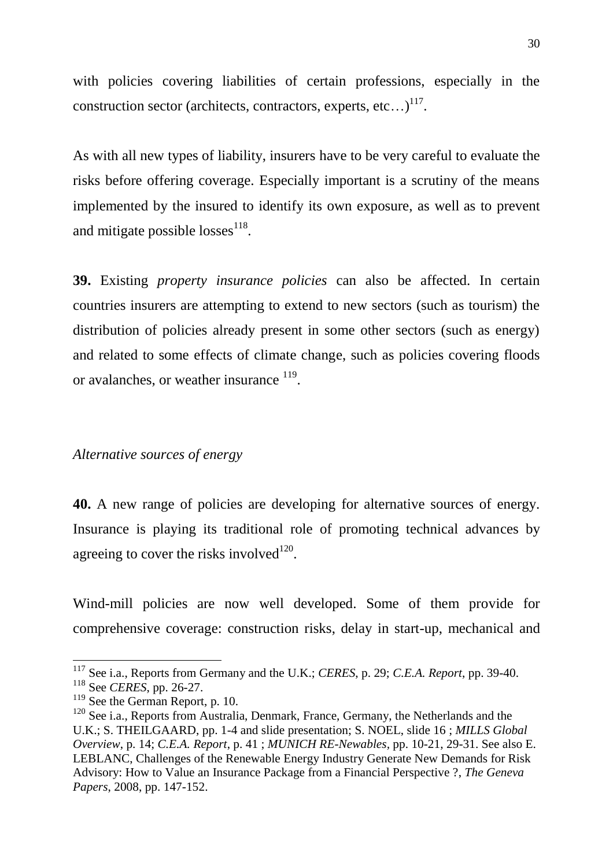with policies covering liabilities of certain professions, especially in the construction sector (architects, contractors, experts, etc...)<sup>117</sup>.

As with all new types of liability, insurers have to be very careful to evaluate the risks before offering coverage. Especially important is a scrutiny of the means implemented by the insured to identify its own exposure, as well as to prevent and mitigate possible losses<sup>118</sup>.

**39.** Existing *property insurance policies* can also be affected. In certain countries insurers are attempting to extend to new sectors (such as tourism) the distribution of policies already present in some other sectors (such as energy) and related to some effects of climate change, such as policies covering floods or avalanches, or weather insurance <sup>119</sup>.

## *Alternative sources of energy*

**40.** A new range of policies are developing for alternative sources of energy. Insurance is playing its traditional role of promoting technical advances by agreeing to cover the risks involved $^{120}$ .

Wind-mill policies are now well developed. Some of them provide for comprehensive coverage: construction risks, delay in start-up, mechanical and

<sup>117</sup> See i.a., Reports from Germany and the U.K.; *CERES*, p. 29; *C.E.A. Report*, pp. 39-40.

<sup>118</sup> See *CERES*, pp. 26-27.

<sup>&</sup>lt;sup>119</sup> See the German Report, p. 10.

 $120$  See i.a., Reports from Australia, Denmark, France, Germany, the Netherlands and the U.K.; S. THEILGAARD, pp. 1-4 and slide presentation; S. NOEL, slide 16 ; *MILLS Global Overview*, p. 14; *C.E.A. Report*, p. 41 ; *MUNICH RE-Newables,* pp. 10-21, 29-31. See also E. LEBLANC, Challenges of the Renewable Energy Industry Generate New Demands for Risk Advisory: How to Value an Insurance Package from a Financial Perspective ?, *The Geneva Papers*, 2008, pp. 147-152.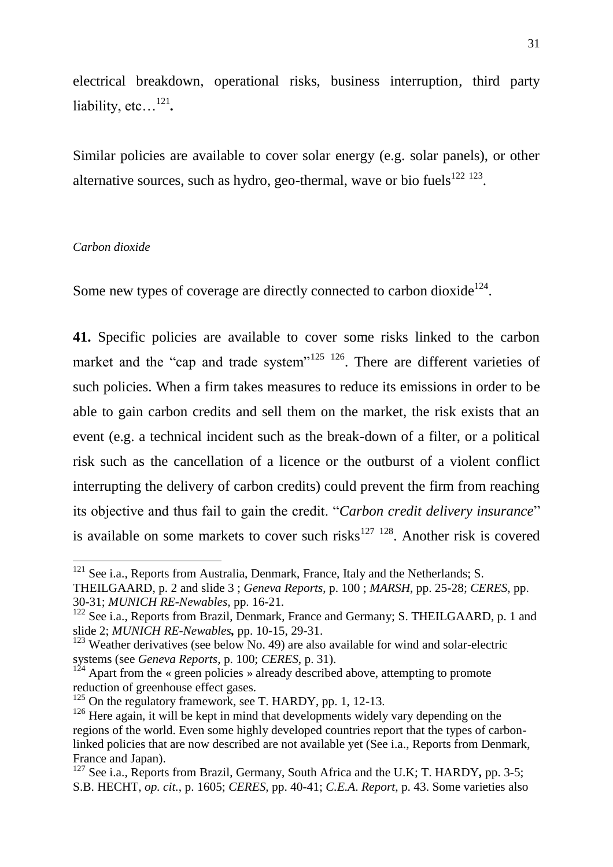electrical breakdown, operational risks, business interruption, third party liability, etc…<sup>121</sup> *.*

Similar policies are available to cover solar energy (e.g. solar panels), or other alternative sources, such as hydro, geo-thermal, wave or bio fuels $122123$ .

#### *Carbon dioxide*

 $\overline{a}$ 

Some new types of coverage are directly connected to carbon dioxide<sup>124</sup>.

**41.** Specific policies are available to cover some risks linked to the carbon market and the "cap and trade system"<sup>125</sup> <sup>126</sup>. There are different varieties of such policies. When a firm takes measures to reduce its emissions in order to be able to gain carbon credits and sell them on the market, the risk exists that an event (e.g. a technical incident such as the break-down of a filter, or a political risk such as the cancellation of a licence or the outburst of a violent conflict interrupting the delivery of carbon credits) could prevent the firm from reaching its objective and thus fail to gain the credit. "*Carbon credit delivery insurance*" is available on some markets to cover such risks<sup>127 128</sup>. Another risk is covered

 $121$  See i.a., Reports from Australia, Denmark, France, Italy and the Netherlands; S.

THEILGAARD, p. 2 and slide 3 ; *Geneva Reports*, p. 100 ; *MARSH*, pp. 25-28; *CERES*, pp. 30-31; *MUNICH RE-Newables,* pp. 16-21.

<sup>&</sup>lt;sup>122</sup> See i.a., Reports from Brazil, Denmark, France and Germany; S. THEILGAARD, p. 1 and slide 2; *MUNICH RE-Newables,* pp. 10-15, 29-31.

 $123$  Weather derivatives (see below No. 49) are also available for wind and solar-electric systems (see *Geneva Reports*, p. 100; *CERES*, p. 31).

 $1^{24}$  Apart from the « green policies » already described above, attempting to promote reduction of greenhouse effect gases.

 $125$  On the regulatory framework, see T. HARDY, pp. 1, 12-13.

<sup>&</sup>lt;sup>126</sup> Here again, it will be kept in mind that developments widely vary depending on the regions of the world. Even some highly developed countries report that the types of carbonlinked policies that are now described are not available yet (See i.a., Reports from Denmark, France and Japan).

<sup>127</sup> See i.a., Reports from Brazil, Germany, South Africa and the U.K; T. HARDY*,* pp. 3-5; S.B. HECHT, *op. cit.*, p. 1605; *CERES,* pp. 40-41; *C.E.A*. *Report*, p. 43. Some varieties also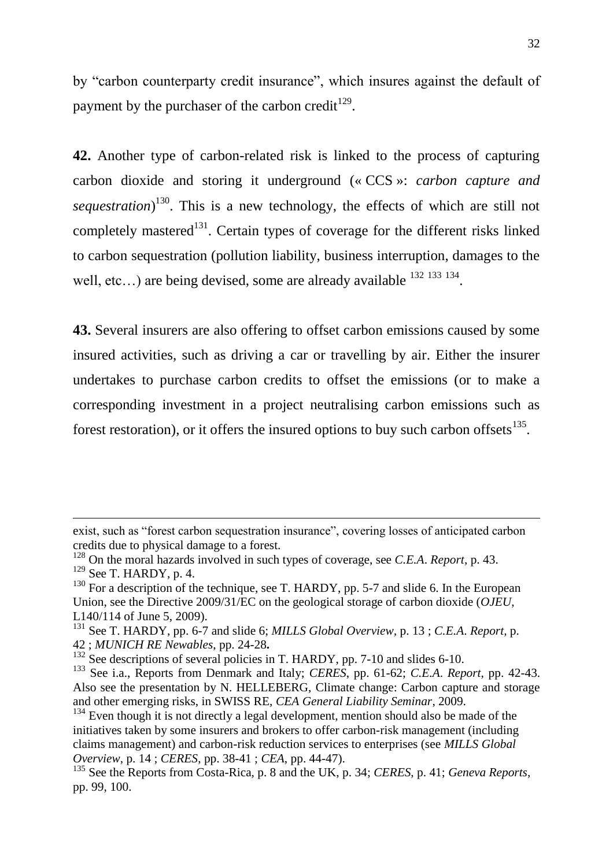by "carbon counterparty credit insurance", which insures against the default of payment by the purchaser of the carbon credit<sup>129</sup>.

**42.** Another type of carbon-related risk is linked to the process of capturing carbon dioxide and storing it underground (« CCS »: *carbon capture and sequestration*) <sup>130</sup>. This is a new technology, the effects of which are still not completely mastered<sup>131</sup>. Certain types of coverage for the different risks linked to carbon sequestration (pollution liability, business interruption, damages to the well, etc...) are being devised, some are already available <sup>132 133</sup> 134.

**43.** Several insurers are also offering to offset carbon emissions caused by some insured activities, such as driving a car or travelling by air. Either the insurer undertakes to purchase carbon credits to offset the emissions (or to make a corresponding investment in a project neutralising carbon emissions such as forest restoration), or it offers the insured options to buy such carbon offsets $^{135}$ .

<u>.</u>

exist, such as "forest carbon sequestration insurance", covering losses of anticipated carbon credits due to physical damage to a forest.

<sup>128</sup> On the moral hazards involved in such types of coverage, see *C.E.A*. *Report*, p. 43.  $129$  See T. HARDY, p. 4.

 $130$  For a description of the technique, see T. HARDY, pp. 5-7 and slide 6. In the European Union, see the Directive 2009/31/EC on the geological storage of carbon dioxide (*OJEU*, L140/114 of June 5, 2009).

<sup>131</sup> See T. HARDY, pp. 6-7 and slide 6; *MILLS Global Overview,* p. 13 ; *C.E.A*. *Report,* p. 42 ; *MUNICH RE Newables*, pp. 24-28**.**

 $132$  See descriptions of several policies in T. HARDY, pp. 7-10 and slides 6-10.

<sup>133</sup> See i.a., Reports from Denmark and Italy; *CERES*, pp. 61-62; *C.E.A*. *Report*, pp. 42-43. Also see the presentation by N. HELLEBERG, Climate change: Carbon capture and storage and other emerging risks, in SWISS RE, *CEA General Liability Seminar*, 2009.

 $134$  Even though it is not directly a legal development, mention should also be made of the initiatives taken by some insurers and brokers to offer carbon-risk management (including claims management) and carbon-risk reduction services to enterprises (see *MILLS Global Overview*, p. 14 ; *CERES*, pp. 38-41 ; *CEA*, pp. 44-47).

<sup>135</sup> See the Reports from Costa-Rica, p. 8 and the UK, p. 34; *CERES*, p. 41; *Geneva Reports*, pp. 99, 100.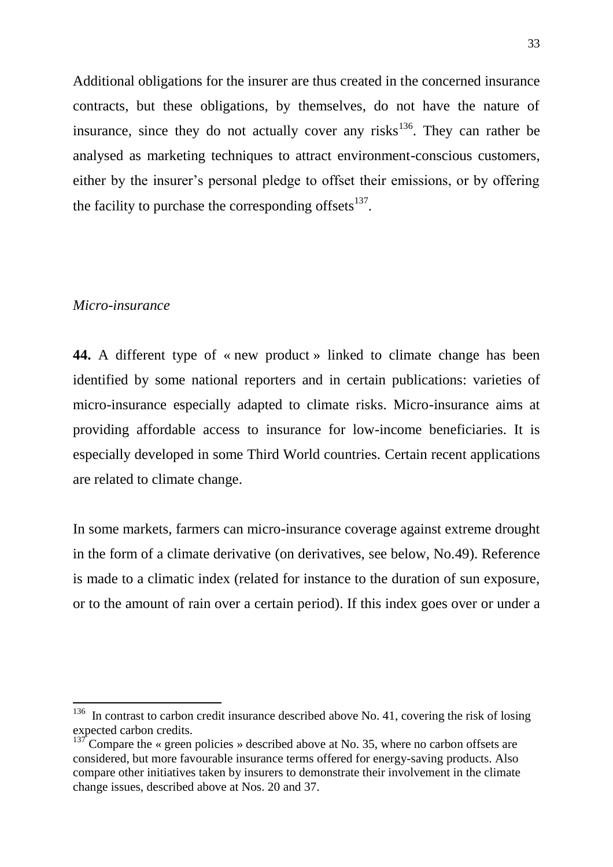Additional obligations for the insurer are thus created in the concerned insurance contracts, but these obligations, by themselves, do not have the nature of insurance, since they do not actually cover any risks<sup>136</sup>. They can rather be analysed as marketing techniques to attract environment-conscious customers, either by the insurer's personal pledge to offset their emissions, or by offering the facility to purchase the corresponding offsets $137$ .

#### *Micro-insurance*

**44.** A different type of « new product » linked to climate change has been identified by some national reporters and in certain publications: varieties of micro-insurance especially adapted to climate risks. Micro-insurance aims at providing affordable access to insurance for low-income beneficiaries. It is especially developed in some Third World countries. Certain recent applications are related to climate change.

In some markets, farmers can micro-insurance coverage against extreme drought in the form of a climate derivative (on derivatives, see below, No.49). Reference is made to a climatic index (related for instance to the duration of sun exposure, or to the amount of rain over a certain period). If this index goes over or under a

<sup>&</sup>lt;sup>136</sup> In contrast to carbon credit insurance described above No. 41, covering the risk of losing expected carbon credits.

 $137$  Compare the « green policies » described above at No. 35, where no carbon offsets are considered, but more favourable insurance terms offered for energy-saving products. Also compare other initiatives taken by insurers to demonstrate their involvement in the climate change issues, described above at Nos. 20 and 37.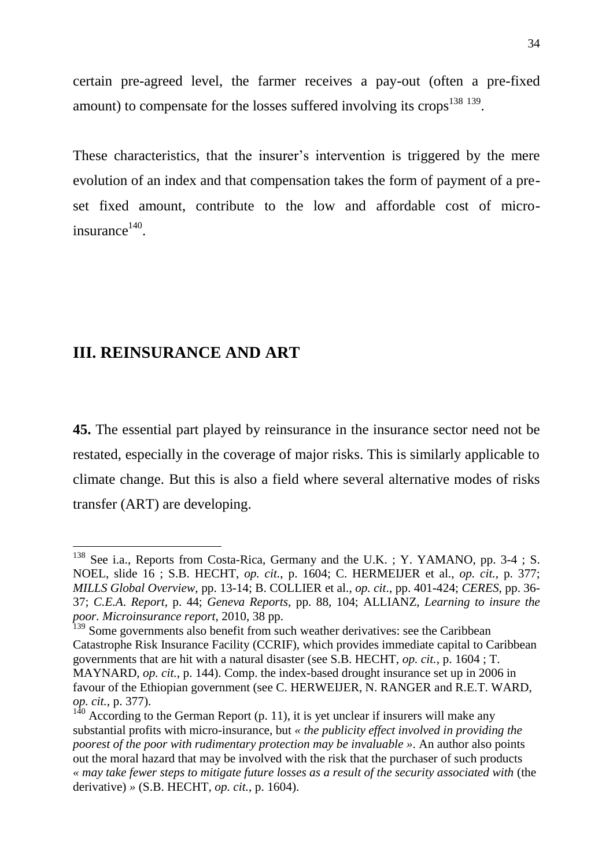certain pre-agreed level, the farmer receives a pay-out (often a pre-fixed amount) to compensate for the losses suffered involving its crops<sup>138 139</sup>.

These characteristics, that the insurer's intervention is triggered by the mere evolution of an index and that compensation takes the form of payment of a preset fixed amount, contribute to the low and affordable cost of microinsurance 140 .

# **III. REINSURANCE AND ART**

 $\overline{a}$ 

**45.** The essential part played by reinsurance in the insurance sector need not be restated, especially in the coverage of major risks. This is similarly applicable to climate change. But this is also a field where several alternative modes of risks transfer (ART) are developing.

 $138$  See i.a., Reports from Costa-Rica, Germany and the U.K.; Y. YAMANO, pp. 3-4; S. NOEL, slide 16 ; S.B. HECHT, *op. cit.*, p. 1604; C. HERMEIJER et al., *op. cit.*, p. 377; *MILLS Global Overview*, pp. 13-14; B. COLLIER et al., *op. cit*., pp. 401-424; *CERES*, pp. 36- 37; *C.E.A*. *Report*, p. 44; *Geneva Reports*, pp. 88, 104; ALLIANZ, *Learning to insure the poor. Microinsurance report*, 2010, 38 pp.

<sup>&</sup>lt;sup>139</sup> Some governments also benefit from such weather derivatives: see the Caribbean Catastrophe Risk Insurance Facility (CCRIF), which provides immediate capital to Caribbean governments that are hit with a natural disaster (see S.B. HECHT, *op. cit.*, p. 1604 ; T. MAYNARD, *op. cit.*, p. 144). Comp. the index-based drought insurance set up in 2006 in favour of the Ethiopian government (see C. HERWEIJER, N. RANGER and R.E.T. WARD, *op. cit.*, p. 377).

According to the German Report  $(p. 11)$ , it is yet unclear if insurers will make any substantial profits with micro-insurance, but *« the publicity effect involved in providing the poorest of the poor with rudimentary protection may be invaluable »*. An author also points out the moral hazard that may be involved with the risk that the purchaser of such products *« may take fewer steps to mitigate future losses as a result of the security associated with* (the derivative) *»* (S.B. HECHT, *op. cit.*, p. 1604).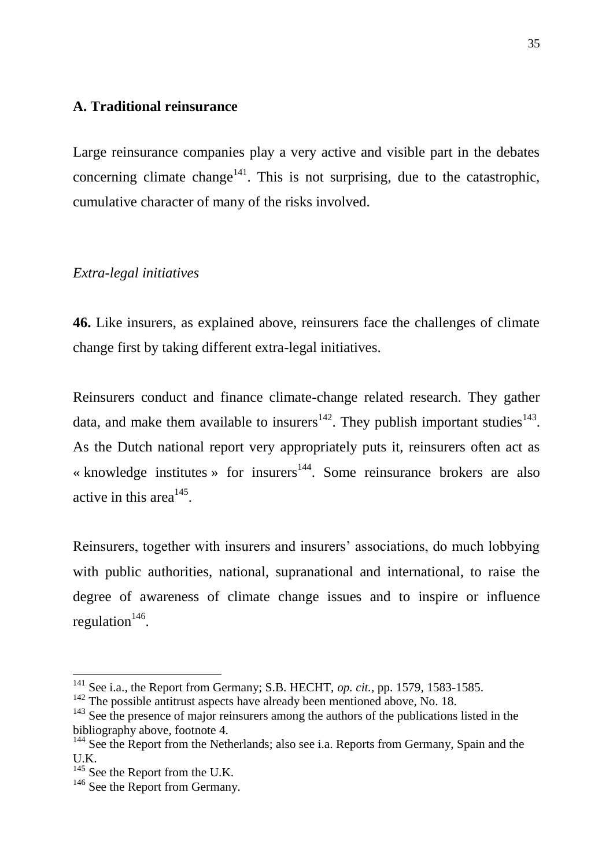# **A. Traditional reinsurance**

Large reinsurance companies play a very active and visible part in the debates concerning climate change<sup>141</sup>. This is not surprising, due to the catastrophic, cumulative character of many of the risks involved.

## *Extra-legal initiatives*

**46.** Like insurers, as explained above, reinsurers face the challenges of climate change first by taking different extra-legal initiatives.

Reinsurers conduct and finance climate-change related research. They gather data, and make them available to insurers<sup>142</sup>. They publish important studies<sup>143</sup>. As the Dutch national report very appropriately puts it, reinsurers often act as « knowledge institutes » for insurers<sup>144</sup>. Some reinsurance brokers are also active in this area<sup> $145$ </sup>.

Reinsurers, together with insurers and insurers' associations, do much lobbying with public authorities, national, supranational and international, to raise the degree of awareness of climate change issues and to inspire or influence regulation $146$ .

<sup>141</sup> See i.a., the Report from Germany; S.B. HECHT, *op. cit.*, pp. 1579, 1583-1585.

 $142$  The possible antitrust aspects have already been mentioned above, No. 18.

 $143$  See the presence of major reinsurers among the authors of the publications listed in the bibliography above, footnote 4.

<sup>&</sup>lt;sup>144</sup> See the Report from the Netherlands; also see i.a. Reports from Germany, Spain and the U.K.

 $145$  See the Report from the U.K.

<sup>&</sup>lt;sup>146</sup> See the Report from Germany.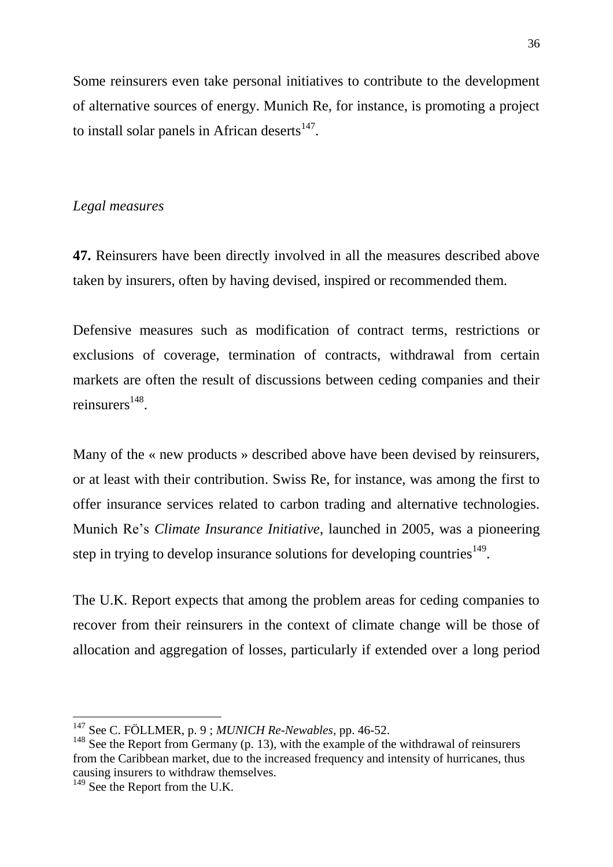Some reinsurers even take personal initiatives to contribute to the development of alternative sources of energy. Munich Re, for instance, is promoting a project to install solar panels in African deserts $147$ .

## *Legal measures*

**47.** Reinsurers have been directly involved in all the measures described above taken by insurers, often by having devised, inspired or recommended them.

Defensive measures such as modification of contract terms, restrictions or exclusions of coverage, termination of contracts, withdrawal from certain markets are often the result of discussions between ceding companies and their reinsurers<sup>148</sup>.

Many of the « new products » described above have been devised by reinsurers, or at least with their contribution. Swiss Re, for instance, was among the first to offer insurance services related to carbon trading and alternative technologies. Munich Re's *Climate Insurance Initiative*, launched in 2005, was a pioneering step in trying to develop insurance solutions for developing countries<sup>149</sup>.

The U.K. Report expects that among the problem areas for ceding companies to recover from their reinsurers in the context of climate change will be those of allocation and aggregation of losses, particularly if extended over a long period

<sup>147</sup> See C. FÖLLMER, p. 9 ; *MUNICH Re-Newables,* pp. 46-52.

 $148$  See the Report from Germany (p. 13), with the example of the withdrawal of reinsurers from the Caribbean market, due to the increased frequency and intensity of hurricanes, thus causing insurers to withdraw themselves.

<sup>&</sup>lt;sup>149</sup> See the Report from the U.K.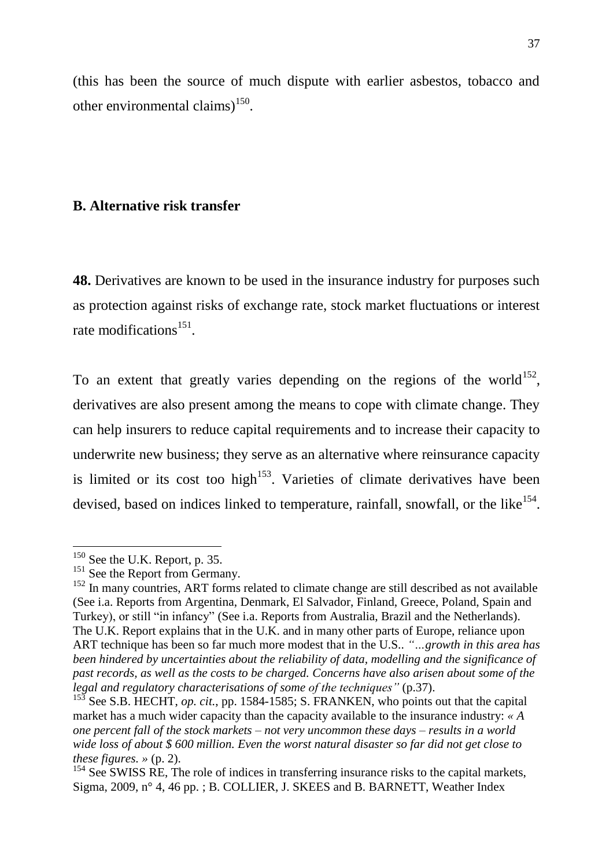(this has been the source of much dispute with earlier asbestos, tobacco and other environmental claims) $^{150}$ .

## **B. Alternative risk transfer**

**48.** Derivatives are known to be used in the insurance industry for purposes such as protection against risks of exchange rate, stock market fluctuations or interest rate modifications<sup>151</sup>.

To an extent that greatly varies depending on the regions of the world<sup>152</sup>, derivatives are also present among the means to cope with climate change. They can help insurers to reduce capital requirements and to increase their capacity to underwrite new business; they serve as an alternative where reinsurance capacity is limited or its cost too high<sup>153</sup>. Varieties of climate derivatives have been devised, based on indices linked to temperature, rainfall, snowfall, or the like<sup>154</sup>.

 $150$  See the U.K. Report, p. 35.

 $151$  See the Report from Germany.

<sup>&</sup>lt;sup>152</sup> In many countries, ART forms related to climate change are still described as not available (See i.a. Reports from Argentina, Denmark, El Salvador, Finland, Greece, Poland, Spain and Turkey), or still "in infancy" (See i.a. Reports from Australia, Brazil and the Netherlands). The U.K. Report explains that in the U.K. and in many other parts of Europe, reliance upon ART technique has been so far much more modest that in the U.S.. *"…growth in this area has been hindered by uncertainties about the reliability of data, modelling and the significance of past records, as well as the costs to be charged. Concerns have also arisen about some of the legal and regulatory characterisations of some of the techniques"* (p.37).

See S.B. HECHT, *op. cit.*, pp. 1584-1585; S. FRANKEN, who points out that the capital market has a much wider capacity than the capacity available to the insurance industry: *« A one percent fall of the stock markets – not very uncommon these days – results in a world wide loss of about \$ 600 million. Even the worst natural disaster so far did not get close to these figures. »* (p. 2).

<sup>&</sup>lt;sup>154</sup> See SWISS RE, The role of indices in transferring insurance risks to the capital markets, Sigma, 2009, n° 4, 46 pp. ; B. COLLIER, J. SKEES and B. BARNETT, Weather Index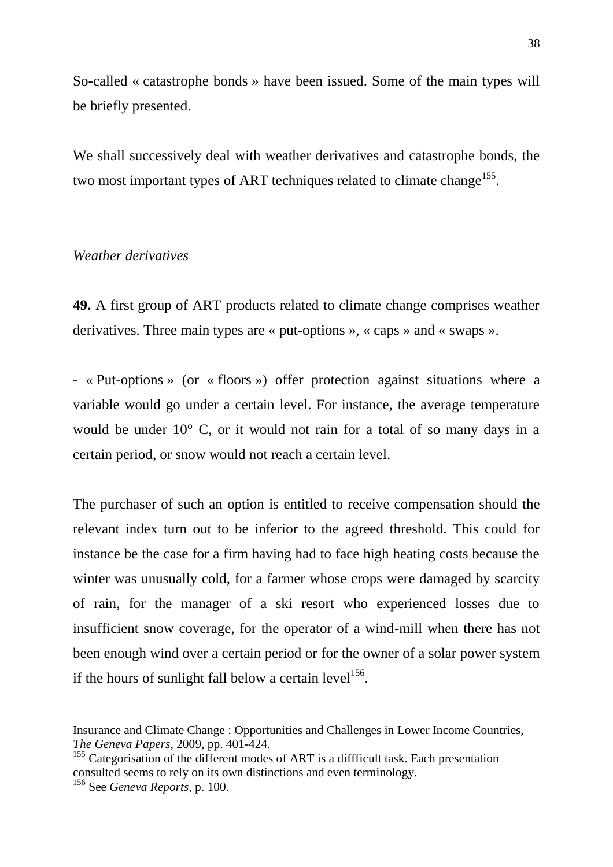So-called « catastrophe bonds » have been issued. Some of the main types will be briefly presented.

We shall successively deal with weather derivatives and catastrophe bonds, the two most important types of ART techniques related to climate change<sup>155</sup>.

## *Weather derivatives*

**49.** A first group of ART products related to climate change comprises weather derivatives. Three main types are « put-options », « caps » and « swaps ».

- « Put-options » (or « floors ») offer protection against situations where a variable would go under a certain level. For instance, the average temperature would be under 10° C, or it would not rain for a total of so many days in a certain period, or snow would not reach a certain level.

The purchaser of such an option is entitled to receive compensation should the relevant index turn out to be inferior to the agreed threshold. This could for instance be the case for a firm having had to face high heating costs because the winter was unusually cold, for a farmer whose crops were damaged by scarcity of rain, for the manager of a ski resort who experienced losses due to insufficient snow coverage, for the operator of a wind-mill when there has not been enough wind over a certain period or for the owner of a solar power system if the hours of sunlight fall below a certain level<sup>156</sup>.

1

Insurance and Climate Change : Opportunities and Challenges in Lower Income Countries, *The Geneva Papers*, 2009, pp. 401-424.

<sup>&</sup>lt;sup>155</sup> Categorisation of the different modes of ART is a diffficult task. Each presentation consulted seems to rely on its own distinctions and even terminology.

<sup>156</sup> See *Geneva Reports*, p. 100.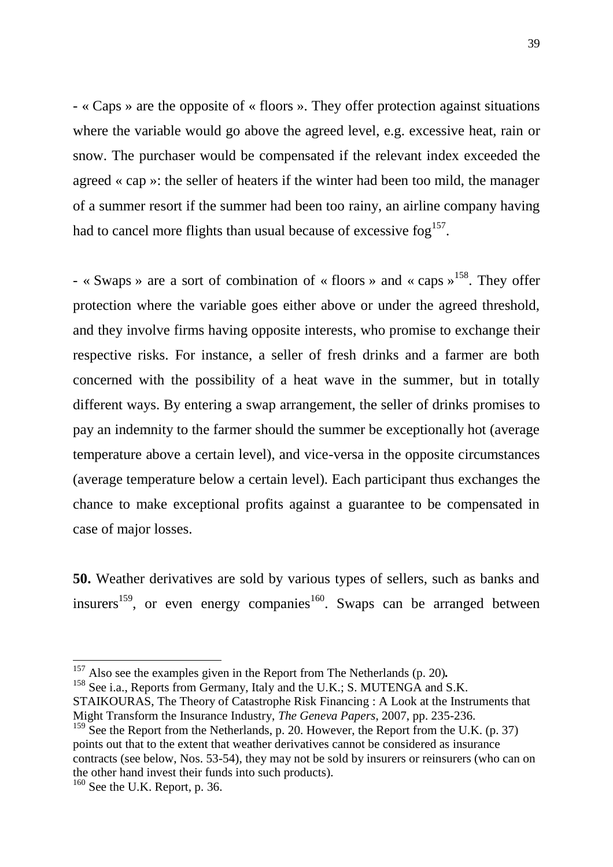- « Caps » are the opposite of « floors ». They offer protection against situations where the variable would go above the agreed level, e.g. excessive heat, rain or snow. The purchaser would be compensated if the relevant index exceeded the agreed « cap »: the seller of heaters if the winter had been too mild, the manager of a summer resort if the summer had been too rainy, an airline company having had to cancel more flights than usual because of excessive fog $^{157}$ .

- « Swaps » are a sort of combination of « floors » and « caps »<sup>158</sup>. They offer protection where the variable goes either above or under the agreed threshold, and they involve firms having opposite interests, who promise to exchange their respective risks. For instance, a seller of fresh drinks and a farmer are both concerned with the possibility of a heat wave in the summer, but in totally different ways. By entering a swap arrangement, the seller of drinks promises to pay an indemnity to the farmer should the summer be exceptionally hot (average temperature above a certain level), and vice-versa in the opposite circumstances (average temperature below a certain level). Each participant thus exchanges the chance to make exceptional profits against a guarantee to be compensated in case of major losses.

**50.** Weather derivatives are sold by various types of sellers, such as banks and insurers<sup>159</sup>, or even energy companies<sup>160</sup>. Swaps can be arranged between

<sup>158</sup> See i.a., Reports from Germany, Italy and the U.K.; S. MUTENGA and S.K. STAIKOURAS, The Theory of Catastrophe Risk Financing : A Look at the Instruments that Might Transform the Insurance Industry, *The Geneva Papers*, 2007, pp. 235-236.

<sup>159</sup> See the Report from the Netherlands, p. 20. However, the Report from the U.K. (p. 37) points out that to the extent that weather derivatives cannot be considered as insurance contracts (see below, Nos. 53-54), they may not be sold by insurers or reinsurers (who can on the other hand invest their funds into such products).

<sup>157</sup> Also see the examples given in the Report from The Netherlands (p. 20)*.*

<sup>160</sup> See the U.K. Report, p. 36.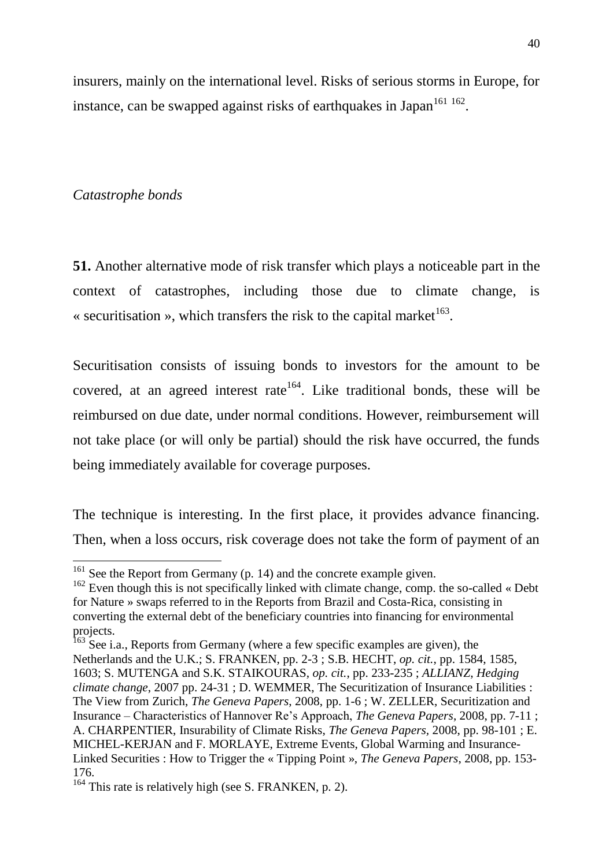insurers, mainly on the international level. Risks of serious storms in Europe, for instance, can be swapped against risks of earthquakes in Japan $^{161}$   $^{162}$ .

## *Catastrophe bonds*

 $\overline{a}$ 

**51.** Another alternative mode of risk transfer which plays a noticeable part in the context of catastrophes, including those due to climate change, is « securitisation », which transfers the risk to the capital market<sup>163</sup>.

Securitisation consists of issuing bonds to investors for the amount to be covered, at an agreed interest rate<sup>164</sup>. Like traditional bonds, these will be reimbursed on due date, under normal conditions. However, reimbursement will not take place (or will only be partial) should the risk have occurred, the funds being immediately available for coverage purposes.

The technique is interesting. In the first place, it provides advance financing. Then, when a loss occurs, risk coverage does not take the form of payment of an

 $161$  See the Report from Germany (p. 14) and the concrete example given.

 $162$  Even though this is not specifically linked with climate change, comp. the so-called « Debt for Nature » swaps referred to in the Reports from Brazil and Costa-Rica, consisting in converting the external debt of the beneficiary countries into financing for environmental projects.

 $163$  See i.a., Reports from Germany (where a few specific examples are given), the Netherlands and the U.K.; S. FRANKEN, pp. 2-3 ; S.B. HECHT, *op. cit.*, pp. 1584, 1585, 1603; S. MUTENGA and S.K. STAIKOURAS, *op. cit.*, pp. 233-235 ; *ALLIANZ*, *Hedging climate change*, 2007 pp. 24-31 ; D. WEMMER, The Securitization of Insurance Liabilities : The View from Zurich, *The Geneva Papers*, 2008, pp. 1-6 ; W. ZELLER, Securitization and Insurance – Characteristics of Hannover Re's Approach, *The Geneva Papers*, 2008, pp. 7-11 ; A. CHARPENTIER, Insurability of Climate Risks, *The Geneva Papers,* 2008, pp. 98-101 ; E. MICHEL-KERJAN and F. MORLAYE, Extreme Events, Global Warming and Insurance-Linked Securities : How to Trigger the « Tipping Point », *The Geneva Papers*, 2008, pp. 153- 176.

<sup>&</sup>lt;sup>164</sup> This rate is relatively high (see S. FRANKEN, p. 2).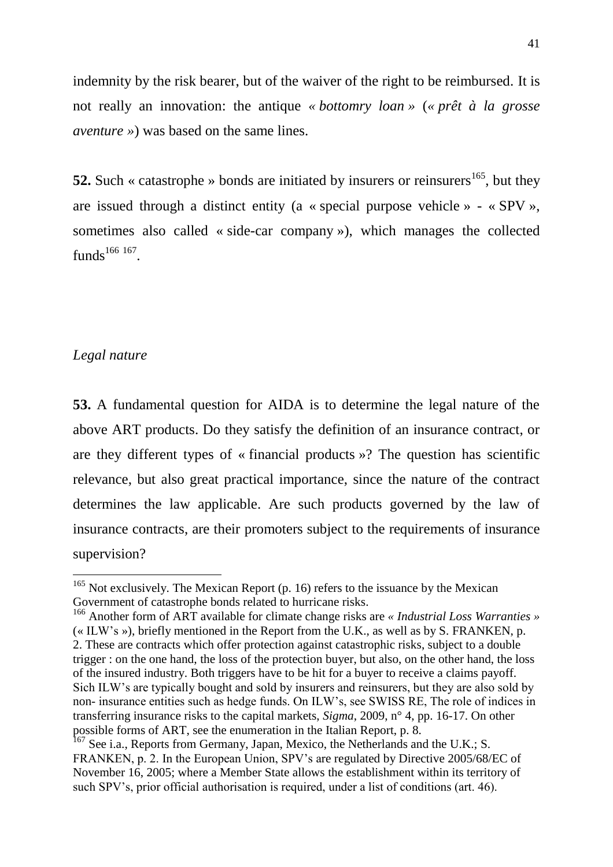indemnity by the risk bearer, but of the waiver of the right to be reimbursed. It is not really an innovation: the antique *« bottomry loan »* (*« prêt à la grosse aventure »*) was based on the same lines.

**52.** Such « catastrophe » bonds are initiated by insurers or reinsurers<sup>165</sup>, but they are issued through a distinct entity (a « special purpose vehicle » - « SPV », sometimes also called « side-car company »), which manages the collected funds $^{166}$   $^{167}$ .

# *Legal nature*

 $\overline{a}$ 

**53.** A fundamental question for AIDA is to determine the legal nature of the above ART products. Do they satisfy the definition of an insurance contract, or are they different types of « financial products »? The question has scientific relevance, but also great practical importance, since the nature of the contract determines the law applicable. Are such products governed by the law of insurance contracts, are their promoters subject to the requirements of insurance supervision?

 $165$  Not exclusively. The Mexican Report (p. 16) refers to the issuance by the Mexican Government of catastrophe bonds related to hurricane risks.

<sup>166</sup> Another form of ART available for climate change risks are *« Industrial Loss Warranties »* (« ILW's »), briefly mentioned in the Report from the U.K., as well as by S. FRANKEN, p. 2. These are contracts which offer protection against catastrophic risks, subject to a double trigger : on the one hand, the loss of the protection buyer, but also, on the other hand, the loss of the insured industry. Both triggers have to be hit for a buyer to receive a claims payoff. Sich ILW's are typically bought and sold by insurers and reinsurers, but they are also sold by non- insurance entities such as hedge funds. On ILW's, see SWISS RE, The role of indices in transferring insurance risks to the capital markets, *Sigma*, 2009, n° 4, pp. 16-17. On other possible forms of ART, see the enumeration in the Italian Report, p. 8.

<sup>&</sup>lt;sup>167</sup> See i.a., Reports from Germany, Japan, Mexico, the Netherlands and the U.K.; S. FRANKEN, p. 2. In the European Union, SPV's are regulated by Directive 2005/68/EC of November 16, 2005; where a Member State allows the establishment within its territory of such SPV's, prior official authorisation is required, under a list of conditions (art. 46).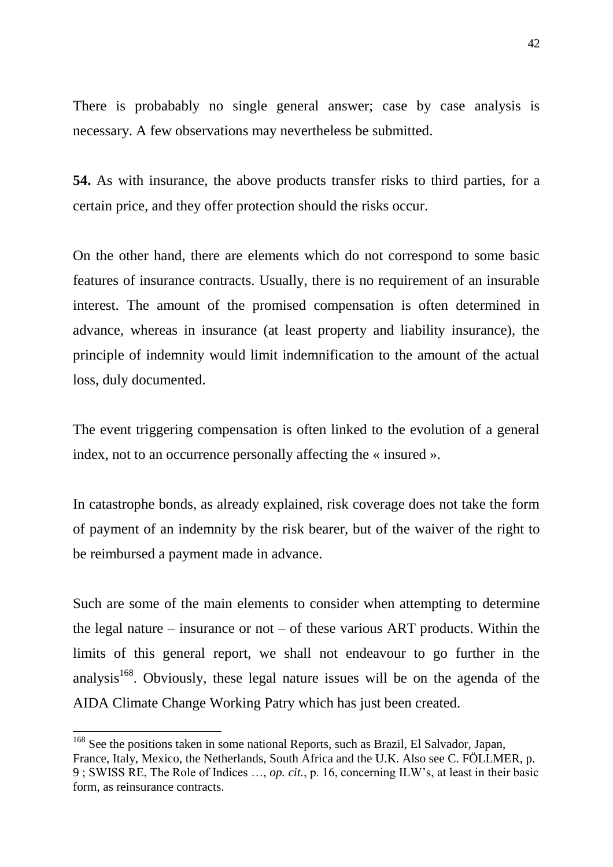There is probabably no single general answer; case by case analysis is necessary. A few observations may nevertheless be submitted.

**54.** As with insurance, the above products transfer risks to third parties, for a certain price, and they offer protection should the risks occur.

On the other hand, there are elements which do not correspond to some basic features of insurance contracts. Usually, there is no requirement of an insurable interest. The amount of the promised compensation is often determined in advance, whereas in insurance (at least property and liability insurance), the principle of indemnity would limit indemnification to the amount of the actual loss, duly documented.

The event triggering compensation is often linked to the evolution of a general index, not to an occurrence personally affecting the « insured ».

In catastrophe bonds, as already explained, risk coverage does not take the form of payment of an indemnity by the risk bearer, but of the waiver of the right to be reimbursed a payment made in advance.

Such are some of the main elements to consider when attempting to determine the legal nature – insurance or not – of these various ART products. Within the limits of this general report, we shall not endeavour to go further in the analysis<sup>168</sup>. Obviously, these legal nature issues will be on the agenda of the AIDA Climate Change Working Patry which has just been created.

<sup>&</sup>lt;sup>168</sup> See the positions taken in some national Reports, such as Brazil, El Salvador, Japan, France, Italy, Mexico, the Netherlands, South Africa and the U.K. Also see C. FÖLLMER, p. 9 ; SWISS RE, The Role of Indices …, *op. cit.*, p. 16, concerning ILW's, at least in their basic form, as reinsurance contracts.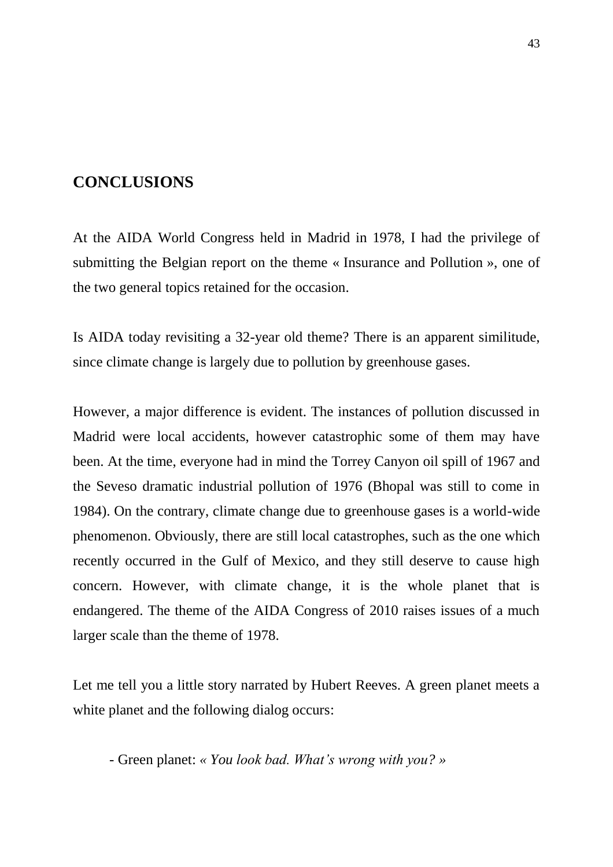# **CONCLUSIONS**

At the AIDA World Congress held in Madrid in 1978, I had the privilege of submitting the Belgian report on the theme « Insurance and Pollution », one of the two general topics retained for the occasion.

Is AIDA today revisiting a 32-year old theme? There is an apparent similitude, since climate change is largely due to pollution by greenhouse gases.

However, a major difference is evident. The instances of pollution discussed in Madrid were local accidents, however catastrophic some of them may have been. At the time, everyone had in mind the Torrey Canyon oil spill of 1967 and the Seveso dramatic industrial pollution of 1976 (Bhopal was still to come in 1984). On the contrary, climate change due to greenhouse gases is a world-wide phenomenon. Obviously, there are still local catastrophes, such as the one which recently occurred in the Gulf of Mexico, and they still deserve to cause high concern. However, with climate change, it is the whole planet that is endangered. The theme of the AIDA Congress of 2010 raises issues of a much larger scale than the theme of 1978.

Let me tell you a little story narrated by Hubert Reeves. A green planet meets a white planet and the following dialog occurs:

- Green planet: *« You look bad. What's wrong with you? »*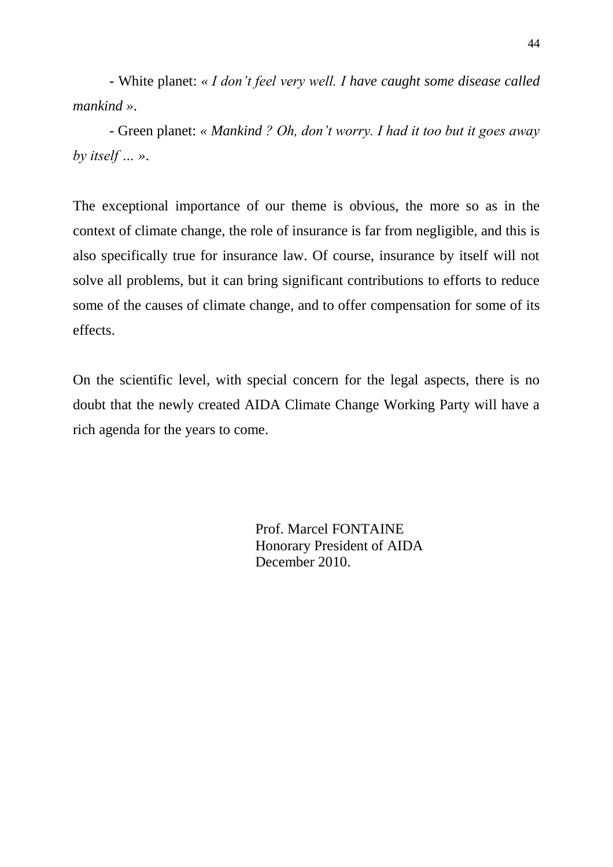- White planet: *« I don't feel very well. I have caught some disease called mankind »*.

- Green planet: *« Mankind ? Oh, don't worry. I had it too but it goes away by itself … »*.

The exceptional importance of our theme is obvious, the more so as in the context of climate change, the role of insurance is far from negligible, and this is also specifically true for insurance law. Of course, insurance by itself will not solve all problems, but it can bring significant contributions to efforts to reduce some of the causes of climate change, and to offer compensation for some of its effects.

On the scientific level, with special concern for the legal aspects, there is no doubt that the newly created AIDA Climate Change Working Party will have a rich agenda for the years to come.

> Prof. Marcel FONTAINE Honorary President of AIDA December 2010.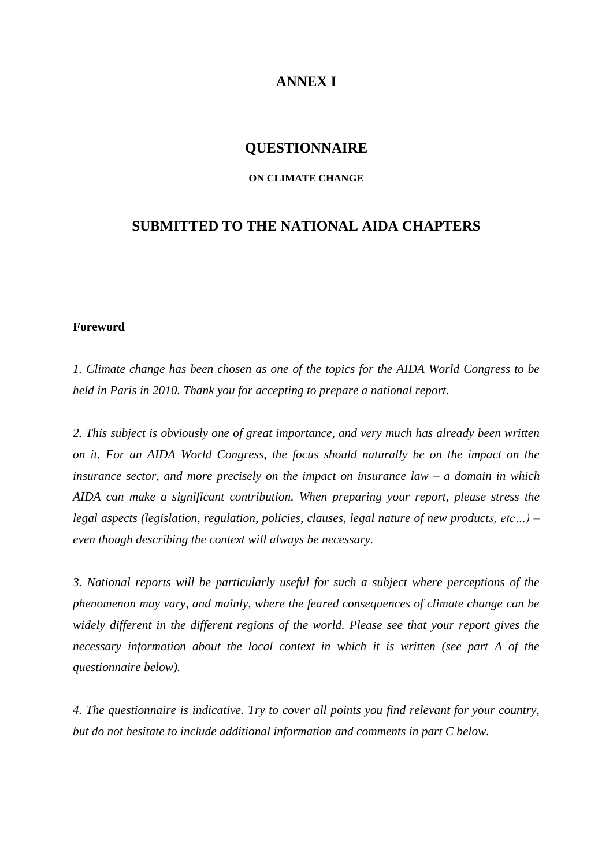# **ANNEX I**

#### **QUESTIONNAIRE**

#### **ON CLIMATE CHANGE**

# **SUBMITTED TO THE NATIONAL AIDA CHAPTERS**

#### **Foreword**

*1. Climate change has been chosen as one of the topics for the AIDA World Congress to be held in Paris in 2010. Thank you for accepting to prepare a national report.* 

*2. This subject is obviously one of great importance, and very much has already been written on it. For an AIDA World Congress, the focus should naturally be on the impact on the insurance sector, and more precisely on the impact on insurance law – a domain in which AIDA can make a significant contribution. When preparing your report, please stress the legal aspects (legislation, regulation, policies, clauses, legal nature of new products, etc…) – even though describing the context will always be necessary.*

*3. National reports will be particularly useful for such a subject where perceptions of the phenomenon may vary, and mainly, where the feared consequences of climate change can be widely different in the different regions of the world. Please see that your report gives the necessary information about the local context in which it is written (see part A of the questionnaire below).*

*4. The questionnaire is indicative. Try to cover all points you find relevant for your country, but do not hesitate to include additional information and comments in part C below.*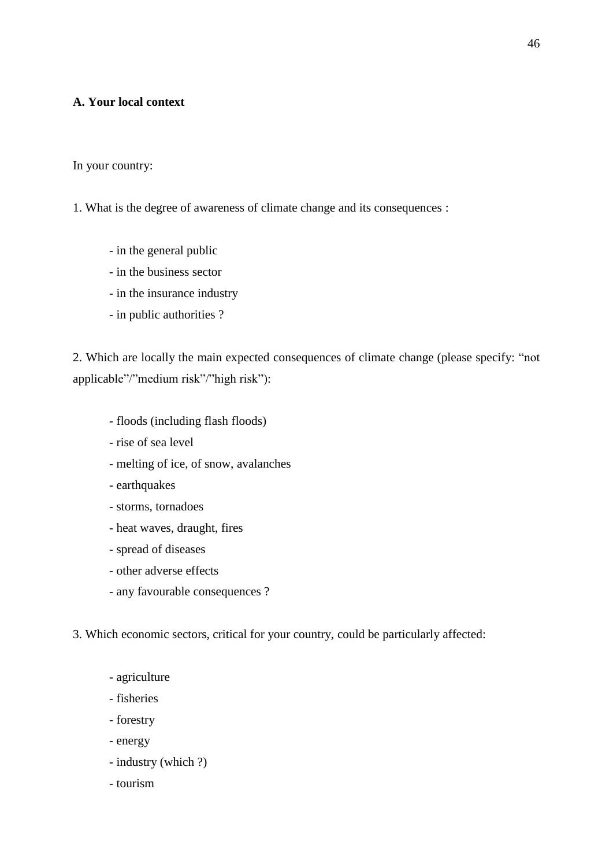#### **A. Your local context**

In your country:

- 1. What is the degree of awareness of climate change and its consequences :
	- in the general public
	- in the business sector
	- in the insurance industry
	- in public authorities ?

2. Which are locally the main expected consequences of climate change (please specify: "not applicable"/"medium risk"/"high risk"):

- floods (including flash floods)
- rise of sea level
- melting of ice, of snow, avalanches
- earthquakes
- storms, tornadoes
- heat waves, draught, fires
- spread of diseases
- other adverse effects
- any favourable consequences ?

3. Which economic sectors, critical for your country, could be particularly affected:

- agriculture
- fisheries
- forestry
- energy
- industry (which ?)
- tourism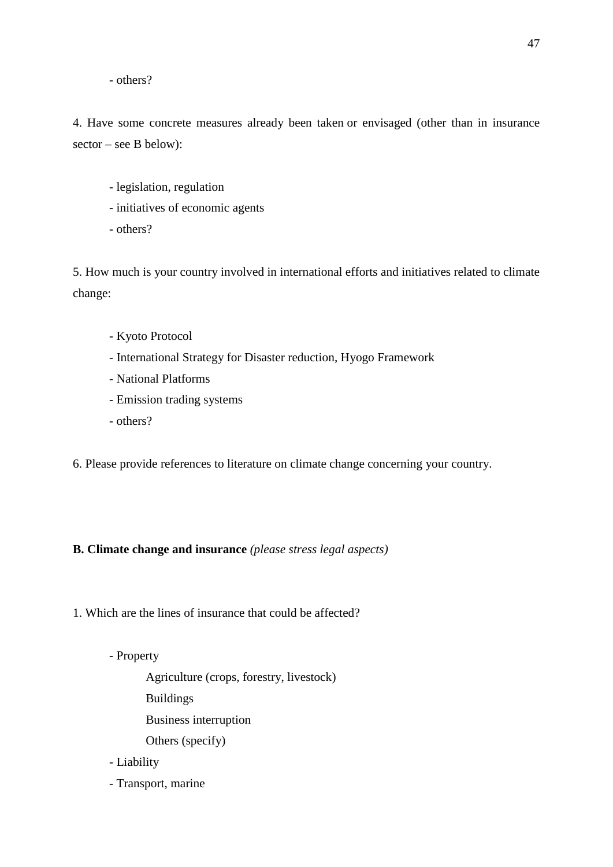- others?

4. Have some concrete measures already been taken or envisaged (other than in insurance sector – see B below):

- legislation, regulation
- initiatives of economic agents
- others?

5. How much is your country involved in international efforts and initiatives related to climate change:

- Kyoto Protocol
- International Strategy for Disaster reduction, Hyogo Framework
- National Platforms
- Emission trading systems
- others?

6. Please provide references to literature on climate change concerning your country.

#### **B. Climate change and insurance** *(please stress legal aspects)*

1. Which are the lines of insurance that could be affected?

- Property

Agriculture (crops, forestry, livestock)

- Buildings
- Business interruption
- Others (specify)
- Liability
- Transport, marine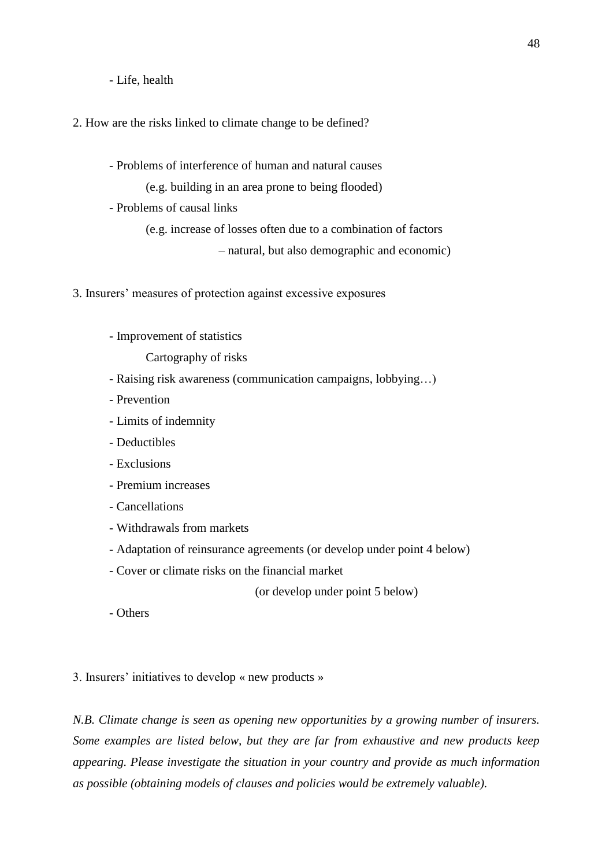- Life, health

2. How are the risks linked to climate change to be defined?

- Problems of interference of human and natural causes

(e.g. building in an area prone to being flooded)

- Problems of causal links

(e.g. increase of losses often due to a combination of factors

– natural, but also demographic and economic)

3. Insurers' measures of protection against excessive exposures

- Improvement of statistics

Cartography of risks

- Raising risk awareness (communication campaigns, lobbying…)
- Prevention
- Limits of indemnity
- Deductibles
- Exclusions
- Premium increases
- Cancellations
- Withdrawals from markets
- Adaptation of reinsurance agreements (or develop under point 4 below)
- Cover or climate risks on the financial market

(or develop under point 5 below)

- Others

3. Insurers' initiatives to develop « new products »

*N.B. Climate change is seen as opening new opportunities by a growing number of insurers. Some examples are listed below, but they are far from exhaustive and new products keep appearing. Please investigate the situation in your country and provide as much information as possible (obtaining models of clauses and policies would be extremely valuable).*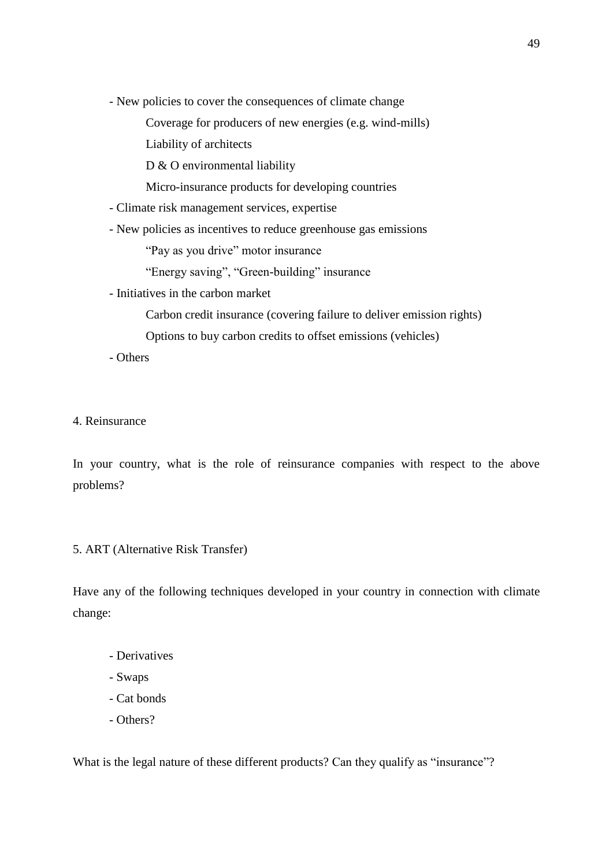- New policies to cover the consequences of climate change

Coverage for producers of new energies (e.g. wind-mills)

Liability of architects

D & O environmental liability

Micro-insurance products for developing countries

- Climate risk management services, expertise
- New policies as incentives to reduce greenhouse gas emissions

"Pay as you drive" motor insurance

"Energy saving", "Green-building" insurance

- Initiatives in the carbon market
	- Carbon credit insurance (covering failure to deliver emission rights)

Options to buy carbon credits to offset emissions (vehicles)

- Others

4. Reinsurance

In your country, what is the role of reinsurance companies with respect to the above problems?

#### 5. ART (Alternative Risk Transfer)

Have any of the following techniques developed in your country in connection with climate change:

- Derivatives
- Swaps
- Cat bonds
- Others?

What is the legal nature of these different products? Can they qualify as "insurance"?